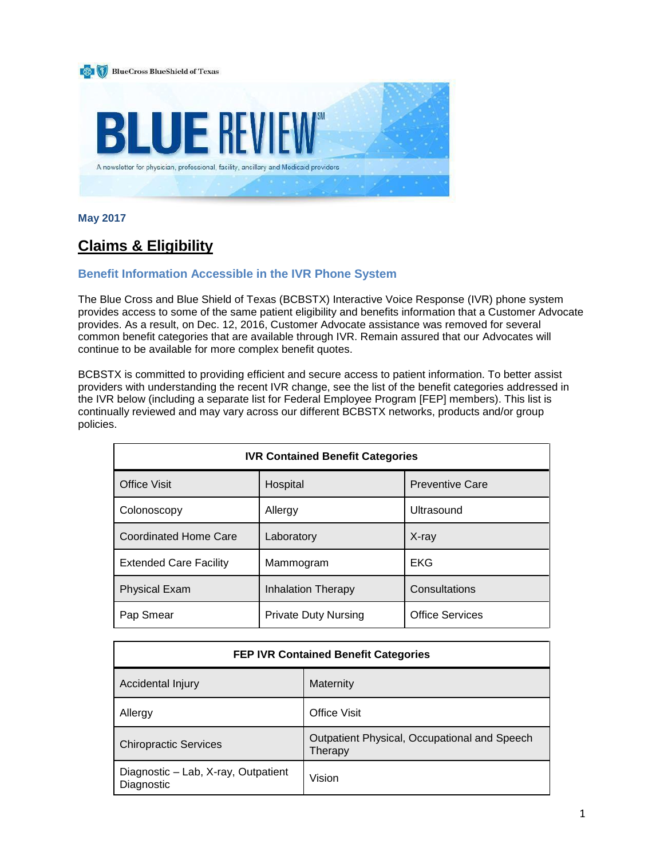

**May 2017**

# **Claims & Eligibility**

# **Benefit Information Accessible in the IVR Phone System**

The Blue Cross and Blue Shield of Texas (BCBSTX) Interactive Voice Response (IVR) phone system provides access to some of the same patient eligibility and benefits information that a Customer Advocate provides. As a result, on Dec. 12, 2016, Customer Advocate assistance was removed for several common benefit categories that are available through IVR. Remain assured that our Advocates will continue to be available for more complex benefit quotes.

BCBSTX is committed to providing efficient and secure access to patient information. To better assist providers with understanding the recent IVR change, see the list of the benefit categories addressed in the IVR below (including a separate list for Federal Employee Program [FEP] members). This list is continually reviewed and may vary across our different BCBSTX networks, products and/or group policies.

| <b>IVR Contained Benefit Categories</b> |                             |                        |
|-----------------------------------------|-----------------------------|------------------------|
| <b>Office Visit</b>                     | Hospital                    | <b>Preventive Care</b> |
| Colonoscopy                             | Allergy                     | Ultrasound             |
| <b>Coordinated Home Care</b>            | Laboratory                  | $X$ -ray               |
| <b>Extended Care Facility</b>           | Mammogram                   | EKG                    |
| <b>Physical Exam</b>                    | Inhalation Therapy          | Consultations          |
| Pap Smear                               | <b>Private Duty Nursing</b> | <b>Office Services</b> |

| <b>FEP IVR Contained Benefit Categories</b>       |                                                         |  |
|---------------------------------------------------|---------------------------------------------------------|--|
| Accidental Injury                                 | Maternity                                               |  |
| Allergy                                           | <b>Office Visit</b>                                     |  |
| <b>Chiropractic Services</b>                      | Outpatient Physical, Occupational and Speech<br>Therapy |  |
| Diagnostic - Lab, X-ray, Outpatient<br>Diagnostic | Vision                                                  |  |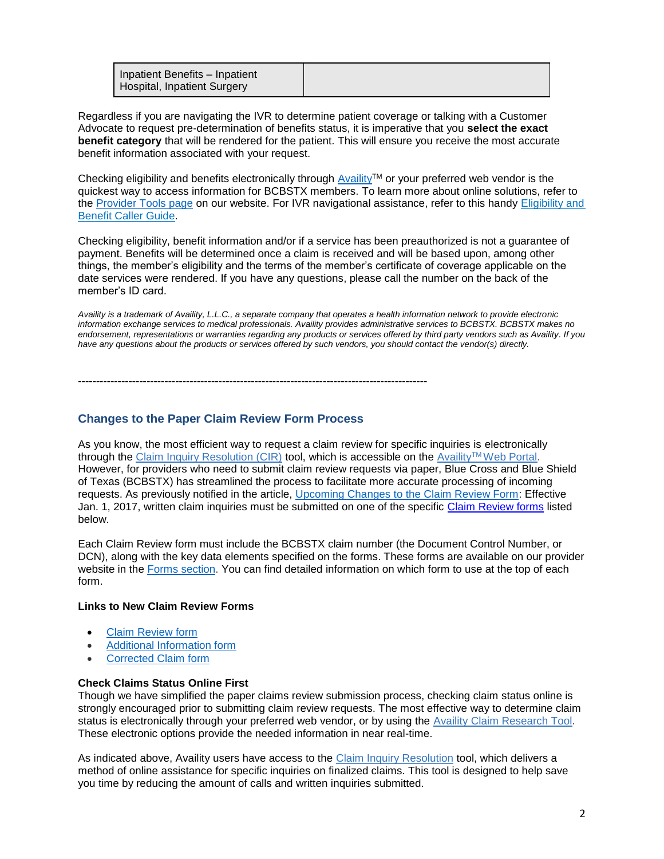| Inpatient Benefits - Inpatient<br>Hospital, Inpatient Surgery |  |
|---------------------------------------------------------------|--|
|---------------------------------------------------------------|--|

Regardless if you are navigating the IVR to determine patient coverage or talking with a Customer Advocate to request pre-determination of benefits status, it is imperative that you **select the exact benefit category** that will be rendered for the patient. This will ensure you receive the most accurate benefit information associated with your request.

Checking eligibility and benefits electronically through [Availity](https://www.availity.com/)™ or your preferred web vendor is the quickest way to access information for BCBSTX members. To learn more about online solutions, refer to the [Provider Tools page](https://www.bcbstx.com/provider/tools/index.html) on our website. For IVR navigational assistance, refer to this handy [Eligibility and](https://www.bcbstx.com/provider/pdf/ivr_elig_ben.pdf)  [Benefit Caller Guide.](https://www.bcbstx.com/provider/pdf/ivr_elig_ben.pdf)

Checking eligibility, benefit information and/or if a service has been preauthorized is not a guarantee of payment. Benefits will be determined once a claim is received and will be based upon, among other things, the member's eligibility and the terms of the member's certificate of coverage applicable on the date services were rendered. If you have any questions, please call the number on the back of the member's ID card.

*Availity is a trademark of Availity, L.L.C., a separate company that operates a health information network to provide electronic information exchange services to medical professionals. Availity provides administrative services to BCBSTX. BCBSTX makes no endorsement, representations or warranties regarding any products or services offered by third party vendors such as Availity. If you have any questions about the products or services offered by such vendors, you should contact the vendor(s) directly.*

**-------------------------------------------------------------------------------------------------**

# **Changes to the Paper Claim Review Form Process**

As you know, the most efficient way to request a claim review for specific inquiries is electronically through the [Claim Inquiry Resolution \(CIR\)](https://www.bcbstx.com/provider/claims/cir_tool.html) tool, which is accessible on the Availity™ [Web Portal.](https://www.availity.com/) However, for providers who need to submit claim review requests via paper, Blue Cross and Blue Shield of Texas (BCBSTX) has streamlined the process to facilitate more accurate processing of incoming requests. As previously notified in the article, [Upcoming Changes to the Claim Review Form:](https://www.bcbstx.com/provider/news/upcoming-changes-claim-review-form.html) Effective Jan. 1, 2017, written claim inquiries must be submitted on one of the specific [Claim Review forms](https://www.bcbstx.com/provider/forms/index.html) listed below.

Each Claim Review form must include the BCBSTX claim number (the Document Control Number, or DCN), along with the key data elements specified on the forms. These forms are available on our provider website in the [Forms section.](https://www.bcbstx.com/provider/forms/index.html) You can find detailed information on which form to use at the top of each form.

#### **Links to New Claim Review Forms**

- [Claim Review form](https://www.bcbstx.com/provider/pdf/tx-contracted-provider-claim-review-form-r1-fillable.pdf)
- [Additional Information form](https://www.bcbstx.com/provider/pdf/tx-additional-information-form-r1-fillable.pdf)
- [Corrected Claim form](https://www.bcbstx.com/provider/pdf/tx-corrected-provider-claim-review-form-fillable.pdf)

#### **Check Claims Status Online First**

Though we have simplified the paper claims review submission process, checking claim status online is strongly encouraged prior to submitting claim review requests. The most effective way to determine claim status is electronically through your preferred web vendor, or by using the [Availity Claim Research Tool.](https://www.bcbstx.com/provider/claims/crt.html) These electronic options provide the needed information in near real-time.

As indicated above, Availity users have access to the [Claim Inquiry Resolution](https://www.bcbstx.com/provider/claims/cir_tool.html) tool, which delivers a method of online assistance for specific inquiries on finalized claims. This tool is designed to help save you time by reducing the amount of calls and written inquiries submitted.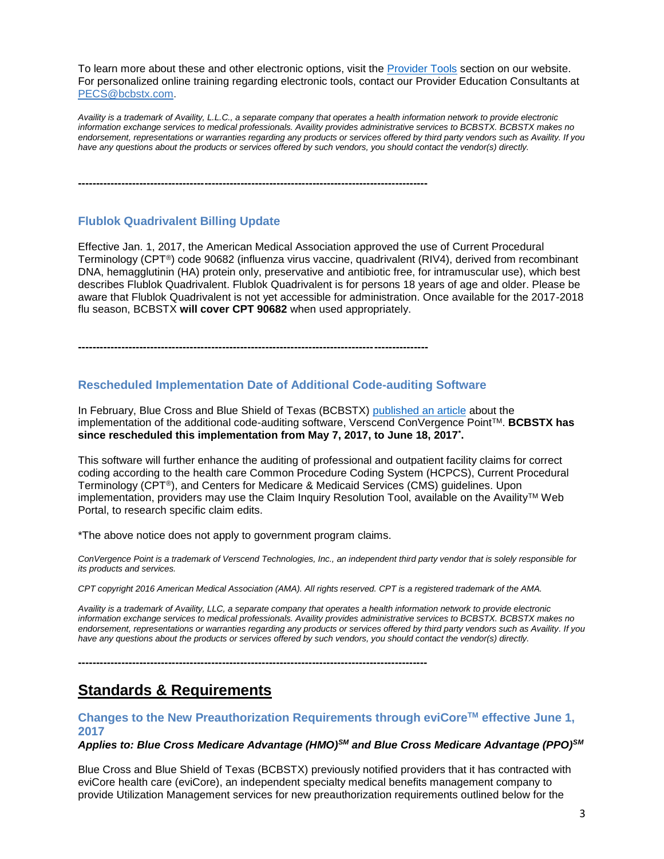To learn more about these and other electronic options, visit the [Provider Tools](https://www.bcbstx.com/provider/tools/index.html) section on our website. For personalized online training regarding electronic tools, contact our Provider Education Consultants at [PECS@bcbstx.com.](mailto:PECS@bcbstx.com)

*Availity is a trademark of Availity, L.L.C., a separate company that operates a health information network to provide electronic information exchange services to medical professionals. Availity provides administrative services to BCBSTX. BCBSTX makes no endorsement, representations or warranties regarding any products or services offered by third party vendors such as Availity. If you have any questions about the products or services offered by such vendors, you should contact the vendor(s) directly.*

**-------------------------------------------------------------------------------------------------**

# **Flublok Quadrivalent Billing Update**

Effective Jan. 1, 2017, the American Medical Association approved the use of Current Procedural Terminology (CPT®) code 90682 (influenza virus vaccine, quadrivalent (RIV4), derived from recombinant DNA, hemagglutinin (HA) protein only, preservative and antibiotic free, for intramuscular use), which best describes Flublok Quadrivalent. Flublok Quadrivalent is for persons 18 years of age and older. Please be aware that Flublok Quadrivalent is not yet accessible for administration. Once available for the 2017-2018 flu season, BCBSTX **will cover CPT 90682** when used appropriately.

**-------------------------------------------------------------------------------------------------**

# **Rescheduled Implementation Date of Additional Code-auditing Software**

In February, Blue Cross and Blue Shield of Texas (BCBSTX) [published an article](https://www.bcbstx.com/provider/news/bluereview.html) about the implementation of the additional code-auditing software, Verscend ConVergence PointTM. **BCBSTX has since rescheduled this implementation from May 7, 2017, to June 18, 2017\* .**

This software will further enhance the auditing of professional and outpatient facility claims for correct coding according to the health care Common Procedure Coding System (HCPCS), Current Procedural Terminology (CPT®), and Centers for Medicare & Medicaid Services (CMS) guidelines. Upon implementation, providers may use the Claim Inquiry Resolution Tool, available on the Availity<sup>TM</sup> Web Portal, to research specific claim edits.

\*The above notice does not apply to government program claims.

*ConVergence Point is a trademark of Verscend Technologies, Inc., an independent third party vendor that is solely responsible for its products and services.*

*CPT copyright 2016 American Medical Association (AMA). All rights reserved. CPT is a registered trademark of the AMA.*

*Availity is a trademark of Availity, LLC, a separate company that operates a health information network to provide electronic information exchange services to medical professionals. Availity provides administrative services to BCBSTX. BCBSTX makes no endorsement, representations or warranties regarding any products or services offered by third party vendors such as Availity. If you have any questions about the products or services offered by such vendors, you should contact the vendor(s) directly.*

**-------------------------------------------------------------------------------------------------**

# **Standards & Requirements**

# **Changes to the New Preauthorization Requirements through eviCoreTM effective June 1, 2017**

*Applies to: Blue Cross Medicare Advantage (HMO)SM and Blue Cross Medicare Advantage (PPO)SM*

Blue Cross and Blue Shield of Texas (BCBSTX) previously notified providers that it has contracted with eviCore health care (eviCore), an independent specialty medical benefits management company to provide Utilization Management services for new preauthorization requirements outlined below for the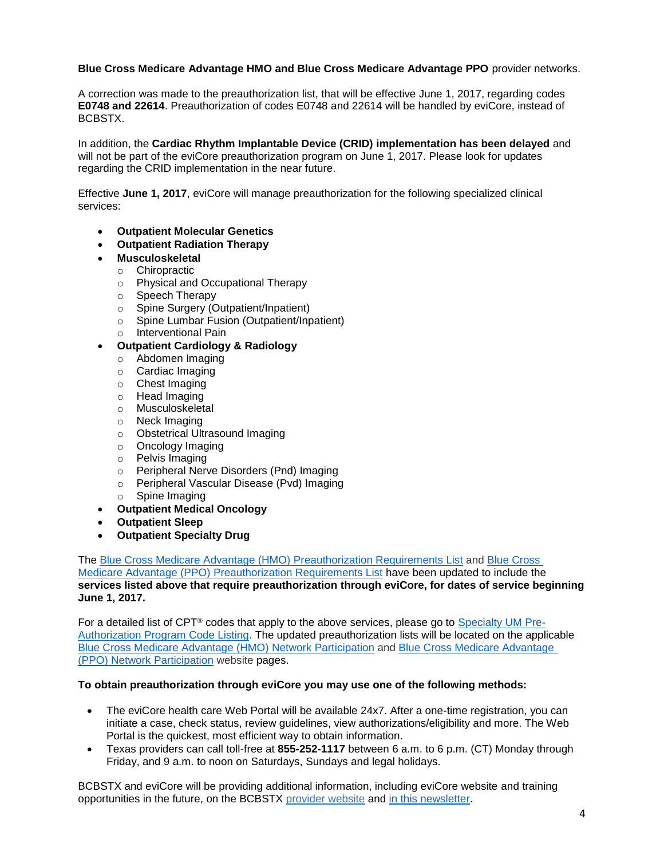### **Blue Cross Medicare Advantage HMO and Blue Cross Medicare Advantage PPO** provider networks.

A correction was made to the preauthorization list, that will be effective June 1, 2017, regarding codes **E0748 and 22614**. Preauthorization of codes E0748 and 22614 will be handled by eviCore, instead of BCBSTX.

In addition, the **Cardiac Rhythm Implantable Device (CRID) implementation has been delayed** and will not be part of the eviCore preauthorization program on June 1, 2017. Please look for updates regarding the CRID implementation in the near future.

Effective **June 1, 2017**, eviCore will manage preauthorization for the following specialized clinical services:

- **Outpatient Molecular Genetics**
- **Outpatient Radiation Therapy**
- **Musculoskeletal**
	- o Chiropractic
	- o Physical and Occupational Therapy
	- o Speech Therapy
	- o Spine Surgery (Outpatient/Inpatient)
	- o Spine Lumbar Fusion (Outpatient/Inpatient)
	- o Interventional Pain
- **Outpatient Cardiology & Radiology**
	- o Abdomen Imaging
	- o Cardiac Imaging
	- o Chest Imaging
	- o Head Imaging
	- o Musculoskeletal
	- o Neck Imaging
	- o Obstetrical Ultrasound Imaging
	- o Oncology Imaging
	- o Pelvis Imaging
	- o Peripheral Nerve Disorders (Pnd) Imaging
	- o Peripheral Vascular Disease (Pvd) Imaging
	- o Spine Imaging
- **Outpatient Medical Oncology**
- **Outpatient Sleep**
- **Outpatient Specialty Drug**

The [Blue Cross Medicare Advantage \(HMO\) Preauthorization Requirements List](https://www.bcbstx.com/provider/pdf/bcma-preauth-06012017.pdf) and [Blue Cross](https://www.bcbstx.com/provider/pdf/bma-preauth-06012017.pdf) 

[Medicare Advantage \(PPO\) Preauthorization Requirements List](https://www.bcbstx.com/provider/pdf/bma-preauth-06012017.pdf) have been updated to include the **services listed above that require preauthorization through eviCore, for dates of service beginning June 1, 2017.** 

For a detailed list of CPT<sup>®</sup> codes that apply to the above services, please go to [Specialty UM Pre-](https://www.bcbstx.com/pdf/specialty-um-pre-authorization-program-code-listing.pdf)[Authorization Program Code Listing.](https://www.bcbstx.com/pdf/specialty-um-pre-authorization-program-code-listing.pdf) The updated preauthorization lists will be located on the applicable [Blue Cross Medicare Advantage \(HMO\) Network Participation](https://www.bcbstx.com/provider/network/bma_hmo.html) and [Blue Cross Medicare Advantage](https://www.bcbstx.com/provider/network/bma_ppo.html)  [\(PPO\) Network Participation](https://www.bcbstx.com/provider/network/bma_ppo.html) website pages.

#### **To obtain preauthorization through eviCore you may use one of the following methods:**

- The eviCore health care Web Portal will be available 24x7. After a one-time registration, you can initiate a case, check status, review guidelines, view authorizations/eligibility and more. The Web Portal is the quickest, most efficient way to obtain information.
- Texas providers can call toll-free at **855-252-1117** between 6 a.m. to 6 p.m. (CT) Monday through Friday, and 9 a.m. to noon on Saturdays, Sundays and legal holidays.

BCBSTX and eviCore will be providing additional information, including eviCore website and training opportunities in the future, on the BCBSTX [provider website](https://www.bcbstx.com/provider) and [in this newsletter.](https://www.bcbstx.com/provider/news/bluereview.html)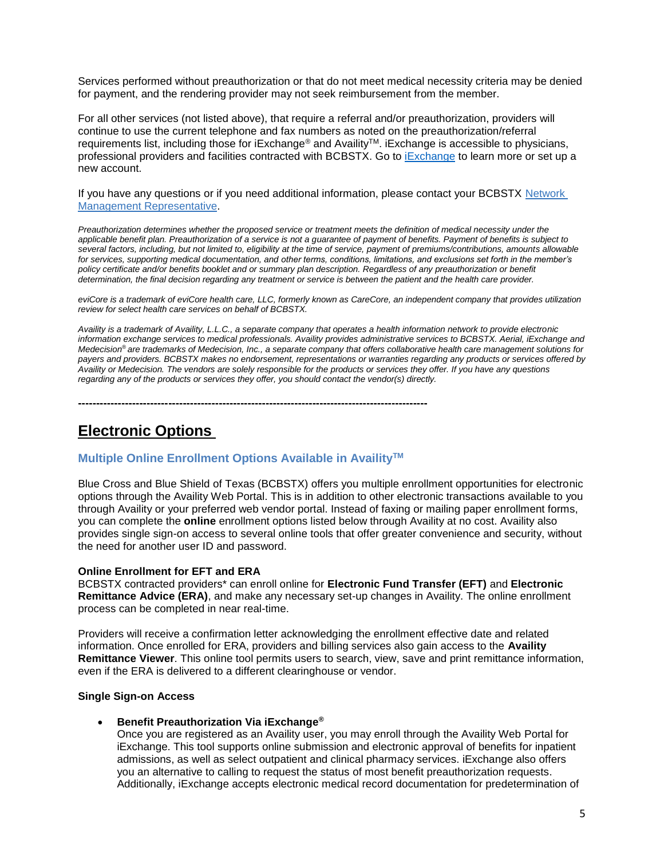Services performed without preauthorization or that do not meet medical necessity criteria may be denied for payment, and the rendering provider may not seek reimbursement from the member.

For all other services (not listed above), that require a referral and/or preauthorization, providers will continue to use the current telephone and fax numbers as noted on the preauthorization/referral requirements list, including those for iExchange® and AvailityTM. iExchange is accessible to physicians, professional providers and facilities contracted with BCBSTX. Go to **Exchange** to learn more or set up a new account.

If you have any questions or if you need additional information, please contact your BCBSTX [Network](https://www.bcbstx.com/provider/contact_us.html)  [Management Representative.](https://www.bcbstx.com/provider/contact_us.html)

*Preauthorization determines whether the proposed service or treatment meets the definition of medical necessity under the applicable benefit plan. Preauthorization of a service is not a guarantee of payment of benefits. Payment of benefits is subject to several factors, including, but not limited to, eligibility at the time of service, payment of premiums/contributions, amounts allowable for services, supporting medical documentation, and other terms, conditions, limitations, and exclusions set forth in the member's policy certificate and/or benefits booklet and or summary plan description. Regardless of any preauthorization or benefit determination, the final decision regarding any treatment or service is between the patient and the health care provider.*

*eviCore is a trademark of eviCore health care, LLC, formerly known as CareCore, an independent company that provides utilization review for select health care services on behalf of BCBSTX.*

*Availity is a trademark of Availity, L.L.C., a separate company that operates a health information network to provide electronic information exchange services to medical professionals. Availity provides administrative services to BCBSTX. Aerial, iExchange and Medecision® are trademarks of Medecision, Inc., a separate company that offers collaborative health care management solutions for payers and providers. BCBSTX makes no endorsement, representations or warranties regarding any products or services offered by Availity or Medecision. The vendors are solely responsible for the products or services they offer. If you have any questions regarding any of the products or services they offer, you should contact the vendor(s) directly.*

# **Electronic Options**

# **Multiple Online Enrollment Options Available in AvailityTM**

**-------------------------------------------------------------------------------------------------**

Blue Cross and Blue Shield of Texas (BCBSTX) offers you multiple enrollment opportunities for electronic options through the Availity Web Portal. This is in addition to other electronic transactions available to you through Availity or your preferred web vendor portal. Instead of faxing or mailing paper enrollment forms, you can complete the **online** enrollment options listed below through Availity at no cost. Availity also provides single sign-on access to several online tools that offer greater convenience and security, without the need for another user ID and password.

#### **Online Enrollment for EFT and ERA**

BCBSTX contracted providers\* can enroll online for **Electronic Fund Transfer (EFT)** and **Electronic Remittance Advice (ERA)**, and make any necessary set-up changes in Availity. The online enrollment process can be completed in near real-time.

Providers will receive a confirmation letter acknowledging the enrollment effective date and related information. Once enrolled for ERA, providers and billing services also gain access to the **Availity Remittance Viewer**. This online tool permits users to search, view, save and print remittance information, even if the ERA is delivered to a different clearinghouse or vendor.

#### **Single Sign-on Access**

#### **Benefit Preauthorization Via iExchange®**

Once you are registered as an Availity user, you may enroll through the Availity Web Portal for iExchange. This tool supports online submission and electronic approval of benefits for inpatient admissions, as well as select outpatient and clinical pharmacy services. iExchange also offers you an alternative to calling to request the status of most benefit preauthorization requests. Additionally, iExchange accepts electronic medical record documentation for predetermination of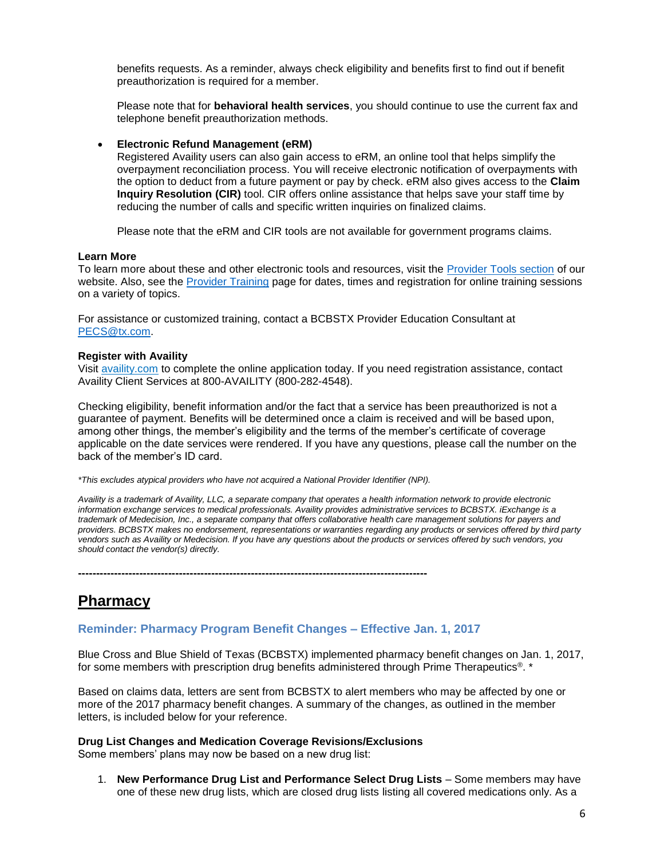benefits requests. As a reminder, always check eligibility and benefits first to find out if benefit preauthorization is required for a member.

Please note that for **behavioral health services**, you should continue to use the current fax and telephone benefit preauthorization methods.

#### **Electronic Refund Management (eRM)**

Registered Availity users can also gain access to eRM, an online tool that helps simplify the overpayment reconciliation process. You will receive electronic notification of overpayments with the option to deduct from a future payment or pay by check. eRM also gives access to the **Claim Inquiry Resolution (CIR)** tool. CIR offers online assistance that helps save your staff time by reducing the number of calls and specific written inquiries on finalized claims.

Please note that the eRM and CIR tools are not available for government programs claims.

#### **Learn More**

To learn more about these and other electronic tools and resources, visit the [Provider Tools section](https://www.bcbstx.com/provider/tools/index.html) of our website. Also, see the [Provider Training](https://www.bcbstx.com/provider/training) page for dates, times and registration for online training sessions on a variety of topics.

For assistance or customized training, contact a BCBSTX Provider Education Consultant at [PECS@tx.com.](mailto:PECS@tx.com)

#### **Register with Availity**

Visit [availity.com](https://www.availity.com/) to complete the online application today. If you need registration assistance, contact Availity Client Services at 800-AVAILITY (800-282-4548).

Checking eligibility, benefit information and/or the fact that a service has been preauthorized is not a guarantee of payment. Benefits will be determined once a claim is received and will be based upon, among other things, the member's eligibility and the terms of the member's certificate of coverage applicable on the date services were rendered. If you have any questions, please call the number on the back of the member's ID card.

*\*This excludes atypical providers who have not acquired a National Provider Identifier (NPI).*

*Availity is a trademark of Availity, LLC, a separate company that operates a health information network to provide electronic information exchange services to medical professionals. Availity provides administrative services to BCBSTX. iExchange is a trademark of Medecision, Inc., a separate company that offers collaborative health care management solutions for payers and providers. BCBSTX makes no endorsement, representations or warranties regarding any products or services offered by third party vendors such as Availity or Medecision. If you have any questions about the products or services offered by such vendors, you should contact the vendor(s) directly.*

**-------------------------------------------------------------------------------------------------**

# **Pharmacy**

# **Reminder: Pharmacy Program Benefit Changes – Effective Jan. 1, 2017**

Blue Cross and Blue Shield of Texas (BCBSTX) implemented pharmacy benefit changes on Jan. 1, 2017, for some members with prescription drug benefits administered through Prime Therapeutics®. \*

Based on claims data, letters are sent from BCBSTX to alert members who may be affected by one or more of the 2017 pharmacy benefit changes. A summary of the changes, as outlined in the member letters, is included below for your reference.

#### **Drug List Changes and Medication Coverage Revisions/Exclusions**

Some members' plans may now be based on a new drug list:

1. **New Performance Drug List and Performance Select Drug Lists** – Some members may have one of these new drug lists, which are closed drug lists listing all covered medications only. As a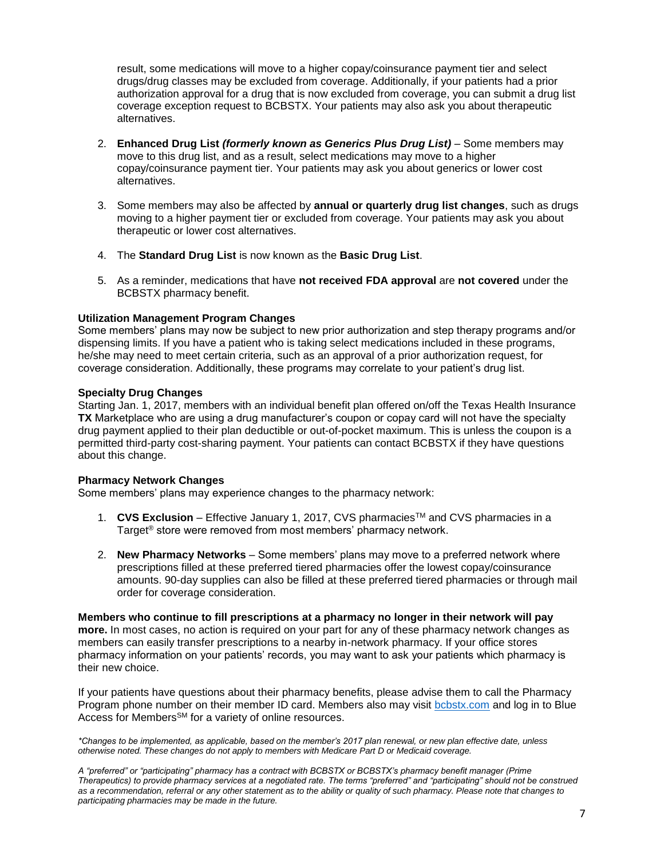result, some medications will move to a higher copay/coinsurance payment tier and select drugs/drug classes may be excluded from coverage. Additionally, if your patients had a prior authorization approval for a drug that is now excluded from coverage, you can submit a drug list coverage exception request to BCBSTX. Your patients may also ask you about therapeutic alternatives.

- 2. **Enhanced Drug List** *(formerly known as Generics Plus Drug List)* Some members may move to this drug list, and as a result, select medications may move to a higher copay/coinsurance payment tier. Your patients may ask you about generics or lower cost alternatives.
- 3. Some members may also be affected by **annual or quarterly drug list changes**, such as drugs moving to a higher payment tier or excluded from coverage. Your patients may ask you about therapeutic or lower cost alternatives.
- 4. The **Standard Drug List** is now known as the **Basic Drug List**.
- 5. As a reminder, medications that have **not received FDA approval** are **not covered** under the BCBSTX pharmacy benefit.

#### **Utilization Management Program Changes**

Some members' plans may now be subject to new prior authorization and step therapy programs and/or dispensing limits. If you have a patient who is taking select medications included in these programs, he/she may need to meet certain criteria, such as an approval of a prior authorization request, for coverage consideration. Additionally, these programs may correlate to your patient's drug list.

#### **Specialty Drug Changes**

Starting Jan. 1, 2017, members with an individual benefit plan offered on/off the Texas Health Insurance **TX** Marketplace who are using a drug manufacturer's coupon or copay card will not have the specialty drug payment applied to their plan deductible or out-of-pocket maximum. This is unless the coupon is a permitted third-party cost-sharing payment. Your patients can contact BCBSTX if they have questions about this change.

## **Pharmacy Network Changes**

Some members' plans may experience changes to the pharmacy network:

- 1. **CVS Exclusion** Effective January 1, 2017, CVS pharmaciesTM and CVS pharmacies in a Target® store were removed from most members' pharmacy network.
- 2. **New Pharmacy Networks** Some members' plans may move to a preferred network where prescriptions filled at these preferred tiered pharmacies offer the lowest copay/coinsurance amounts. 90-day supplies can also be filled at these preferred tiered pharmacies or through mail order for coverage consideration.

**Members who continue to fill prescriptions at a pharmacy no longer in their network will pay more.** In most cases, no action is required on your part for any of these pharmacy network changes as members can easily transfer prescriptions to a nearby in-network pharmacy. If your office stores pharmacy information on your patients' records, you may want to ask your patients which pharmacy is their new choice.

If your patients have questions about their pharmacy benefits, please advise them to call the Pharmacy Program phone number on their member ID card. Members also may visit [bcbstx.com](https://members.hcsc.net/wps/portal/bam) and log in to Blue Access for Members<sup>SM</sup> for a variety of online resources.

*\*Changes to be implemented, as applicable, based on the member's 2017 plan renewal, or new plan effective date, unless otherwise noted. These changes do not apply to members with Medicare Part D or Medicaid coverage.*

*A "preferred" or "participating" pharmacy has a contract with BCBSTX or BCBSTX's pharmacy benefit manager (Prime Therapeutics) to provide pharmacy services at a negotiated rate. The terms "preferred" and "participating" should not be construed as a recommendation, referral or any other statement as to the ability or quality of such pharmacy. Please note that changes to participating pharmacies may be made in the future.*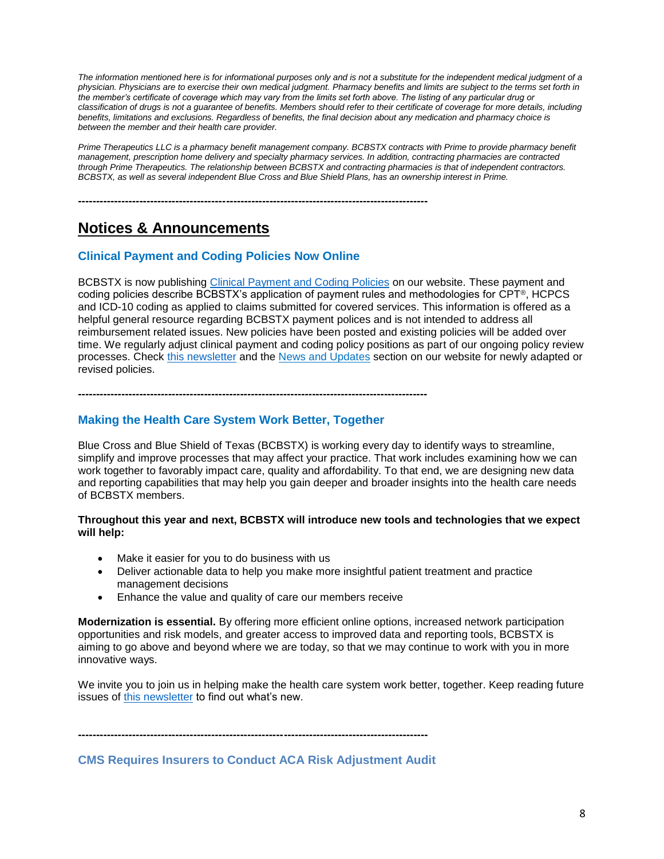*The information mentioned here is for informational purposes only and is not a substitute for the independent medical judgment of a physician. Physicians are to exercise their own medical judgment. Pharmacy benefits and limits are subject to the terms set forth in the member's certificate of coverage which may vary from the limits set forth above. The listing of any particular drug or classification of drugs is not a guarantee of benefits. Members should refer to their certificate of coverage for more details, including benefits, limitations and exclusions. Regardless of benefits, the final decision about any medication and pharmacy choice is between the member and their health care provider.*

*Prime Therapeutics LLC is a pharmacy benefit management company. BCBSTX contracts with Prime to provide pharmacy benefit management, prescription home delivery and specialty pharmacy services. In addition, contracting pharmacies are contracted through Prime Therapeutics. The relationship between BCBSTX and contracting pharmacies is that of independent contractors. BCBSTX, as well as several independent Blue Cross and Blue Shield Plans, has an ownership interest in Prime.*

**-------------------------------------------------------------------------------------------------**

# **Notices & Announcements**

# **Clinical Payment and Coding Policies Now Online**

BCBSTX is now publishing [Clinical Payment and Coding Policies](https://www.bcbstx.com/provider/standards/cpcp.html) on our website. These payment and coding policies describe BCBSTX's application of payment rules and methodologies for CPT®, HCPCS and ICD-10 coding as applied to claims submitted for covered services. This information is offered as a helpful general resource regarding BCBSTX payment polices and is not intended to address all reimbursement related issues. New policies have been posted and existing policies will be added over time. We regularly adjust clinical payment and coding policy positions as part of our ongoing policy review processes. Check [this newsletter](https://www.bcbstx.com/provider/news/bluereview.html) and the [News and Updates](https://www.bcbstx.com/provider/news/index.html) section on our website for newly adapted or revised policies.

**-------------------------------------------------------------------------------------------------**

# **Making the Health Care System Work Better, Together**

Blue Cross and Blue Shield of Texas (BCBSTX) is working every day to identify ways to streamline, simplify and improve processes that may affect your practice. That work includes examining how we can work together to favorably impact care, quality and affordability. To that end, we are designing new data and reporting capabilities that may help you gain deeper and broader insights into the health care needs of BCBSTX members.

#### **Throughout this year and next, BCBSTX will introduce new tools and technologies that we expect will help:**

- Make it easier for you to do business with us
- Deliver actionable data to help you make more insightful patient treatment and practice management decisions
- **Enhance the value and quality of care our members receive**

**Modernization is essential.** By offering more efficient online options, increased network participation opportunities and risk models, and greater access to improved data and reporting tools, BCBSTX is aiming to go above and beyond where we are today, so that we may continue to work with you in more innovative ways.

We invite you to join us in helping make the health care system work better, together. Keep reading future issues of [this newsletter](https://www.bcbstx.com/provider/news/bluereview.html) to find out what's new.

**-------------------------------------------------------------------------------------------------**

**CMS Requires Insurers to Conduct ACA Risk Adjustment Audit**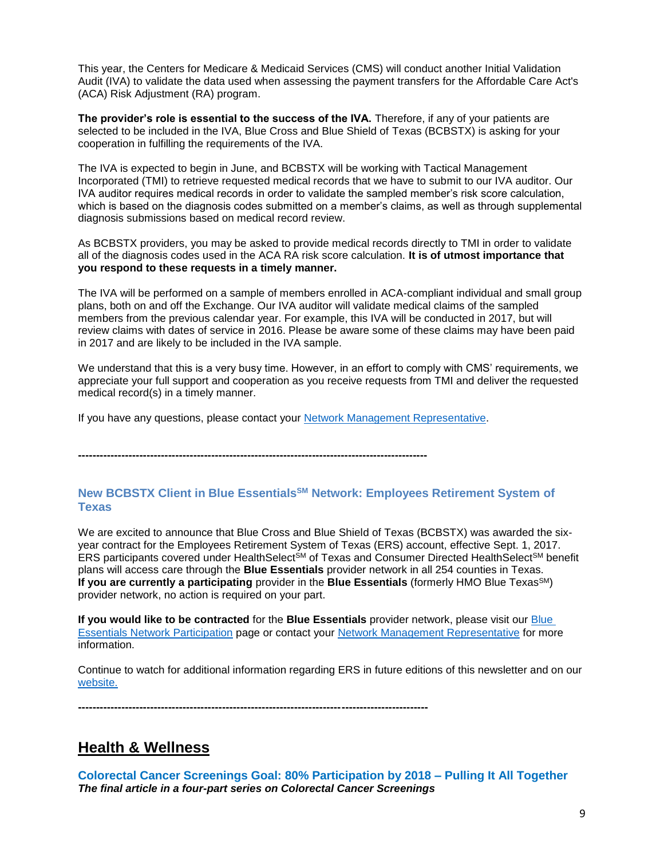This year, the Centers for Medicare & Medicaid Services (CMS) will conduct another Initial Validation Audit (IVA) to validate the data used when assessing the payment transfers for the Affordable Care Act's (ACA) Risk Adjustment (RA) program.

The provider's role is essential to the success of the IVA. Therefore, if any of your patients are selected to be included in the IVA, Blue Cross and Blue Shield of Texas (BCBSTX) is asking for your cooperation in fulfilling the requirements of the IVA.

The IVA is expected to begin in June, and BCBSTX will be working with Tactical Management Incorporated (TMI) to retrieve requested medical records that we have to submit to our IVA auditor. Our IVA auditor requires medical records in order to validate the sampled member's risk score calculation, which is based on the diagnosis codes submitted on a member's claims, as well as through supplemental diagnosis submissions based on medical record review.

As BCBSTX providers, you may be asked to provide medical records directly to TMI in order to validate all of the diagnosis codes used in the ACA RA risk score calculation. **It is of utmost importance that you respond to these requests in a timely manner.** 

The IVA will be performed on a sample of members enrolled in ACA-compliant individual and small group plans, both on and off the Exchange. Our IVA auditor will validate medical claims of the sampled members from the previous calendar year. For example, this IVA will be conducted in 2017, but will review claims with dates of service in 2016. Please be aware some of these claims may have been paid in 2017 and are likely to be included in the IVA sample.

We understand that this is a very busy time. However, in an effort to comply with CMS' requirements, we appreciate your full support and cooperation as you receive requests from TMI and deliver the requested medical record(s) in a timely manner.

If you have any questions, please contact your [Network Management Representative.](https://www.bcbstx.com/provider/contact_us.html#localnetwork)

**-------------------------------------------------------------------------------------------------**

# **New BCBSTX Client in Blue EssentialsSM Network: Employees Retirement System of Texas**

We are excited to announce that Blue Cross and Blue Shield of Texas (BCBSTX) was awarded the sixyear contract for the Employees Retirement System of Texas (ERS) account, effective Sept. 1, 2017. ERS participants covered under HealthSelect<sup>SM</sup> of Texas and Consumer Directed HealthSelect<sup>SM</sup> benefit plans will access care through the **Blue Essentials** provider network in all 254 counties in Texas. **If you are currently a participating** provider in the **Blue Essentials** (formerly HMO Blue Texas<sup>SM</sup>) provider network, no action is required on your part.

**If you would like to be contracted** for the **Blue Essentials** provider network, please visit our [Blue](https://www.bcbstx.com/provider/network/blue_essentials_participation.html)  [Essentials Network Participation](https://www.bcbstx.com/provider/network/blue_essentials_participation.html) page or contact your [Network Management Representative](https://www.bcbstx.com/provider/contact_us.html#localnetwork) for more information.

Continue to watch for additional information regarding ERS in future editions of this newsletter and on our [website.](https://www.bcbstx.com/provider/)

**-------------------------------------------------------------------------------------------------**

# **Health & Wellness**

**Colorectal Cancer Screenings Goal: 80% Participation by 2018 – Pulling It All Together** *The final article in a four-part series on Colorectal Cancer Screenings*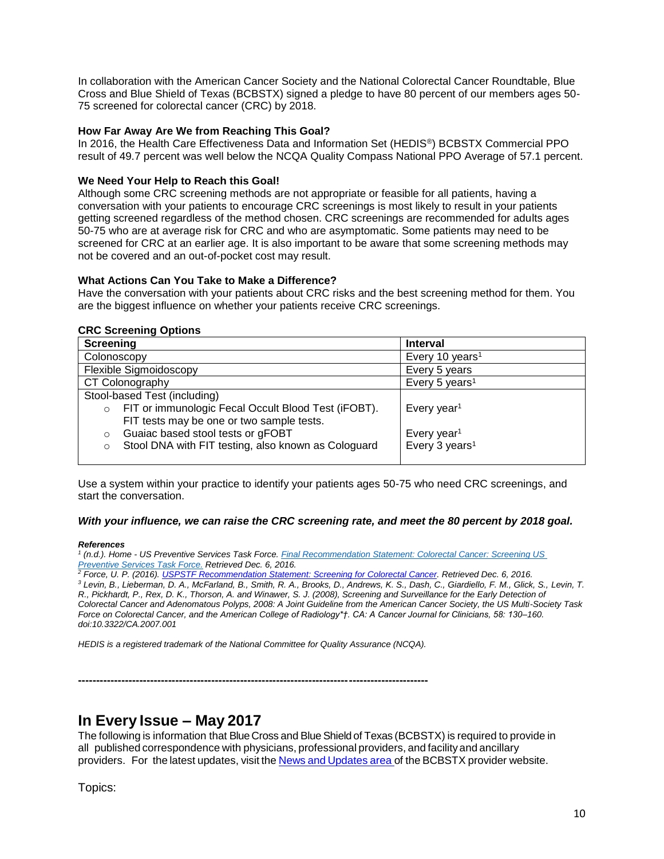In collaboration with the American Cancer Society and the National Colorectal Cancer Roundtable, Blue Cross and Blue Shield of Texas (BCBSTX) signed a pledge to have 80 percent of our members ages 50- 75 screened for colorectal cancer (CRC) by 2018.

#### **How Far Away Are We from Reaching This Goal?**

In 2016, the Health Care Effectiveness Data and Information Set (HEDIS®) BCBSTX Commercial PPO result of 49.7 percent was well below the NCQA Quality Compass National PPO Average of 57.1 percent.

#### **We Need Your Help to Reach this Goal!**

Although some CRC screening methods are not appropriate or feasible for all patients, having a conversation with your patients to encourage CRC screenings is most likely to result in your patients getting screened regardless of the method chosen. CRC screenings are recommended for adults ages 50-75 who are at average risk for CRC and who are asymptomatic. Some patients may need to be screened for CRC at an earlier age. It is also important to be aware that some screening methods may not be covered and an out-of-pocket cost may result.

#### **What Actions Can You Take to Make a Difference?**

Have the conversation with your patients about CRC risks and the best screening method for them. You are the biggest influence on whether your patients receive CRC screenings.

#### **CRC Screening Options**

| <b>Screening</b>                                               | <b>Interval</b>             |
|----------------------------------------------------------------|-----------------------------|
| Colonoscopy                                                    | Every 10 years <sup>1</sup> |
| Flexible Sigmoidoscopy                                         | Every 5 years               |
| CT Colonography                                                | Every 5 years <sup>1</sup>  |
| Stool-based Test (including)                                   |                             |
| FIT or immunologic Fecal Occult Blood Test (iFOBT).<br>$\circ$ | Every year <sup>1</sup>     |
| FIT tests may be one or two sample tests.                      |                             |
| Guaiac based stool tests or gFOBT<br>O                         | Every year <sup>1</sup>     |
| Stool DNA with FIT testing, also known as Cologuard<br>$\circ$ | Every 3 years <sup>1</sup>  |
|                                                                |                             |

Use a system within your practice to identify your patients ages 50-75 who need CRC screenings, and start the conversation.

#### *With your influence, we can raise the CRC screening rate, and meet the 80 percent by 2018 goal.*

#### *References*

*1 (n.d.). Home - US Preventive Services Task Force[. Final Recommendation Statement: Colorectal Cancer: Screening US](https://www.uspreventiveservicestaskforce.org/Page/Document/RecommendationStatementFinal/colorectal-cancer-screening2 )  [Preventive Services Task Force.](https://www.uspreventiveservicestaskforce.org/Page/Document/RecommendationStatementFinal/colorectal-cancer-screening2 ) Retrieved Dec. 6, 2016.* 

*<sup>2</sup> Force, U. P. (2016)[. USPSTF Recommendation Statement: Screening for Colorectal Cancer.](http://jamanetwork.com/journals/jama/fullarticle/2529486) Retrieved Dec. 6, 2016.*

*<sup>3</sup> Levin, B., Lieberman, D. A., McFarland, B., Smith, R. A., Brooks, D., Andrews, K. S., Dash, C., Giardiello, F. M., Glick, S., Levin, T. R., Pickhardt, P., Rex, D. K., Thorson, A. and Winawer, S. J. (2008), Screening and Surveillance for the Early Detection of Colorectal Cancer and Adenomatous Polyps, 2008: A Joint Guideline from the American Cancer Society, the US Multi-Society Task Force on Colorectal Cancer, and the American College of Radiology\*†. CA: A Cancer Journal for Clinicians, 58: 130–160. doi:10.3322/CA.2007.001*

*HEDIS is a registered trademark of the National Committee for Quality Assurance (NCQA).*

**-------------------------------------------------------------------------------------------------**

# **In Every Issue – May 2017**

The following is information that BlueCross and Blue Shield of Texas (BCBSTX) is required to provide in all published correspondence with physicians, professional providers, and facilityand ancillary providers. For the latest updates, visit the News and [Updates](http://www.bcbstx.com/provider/news/index.html) area of the BCBSTX provider website.

Topics: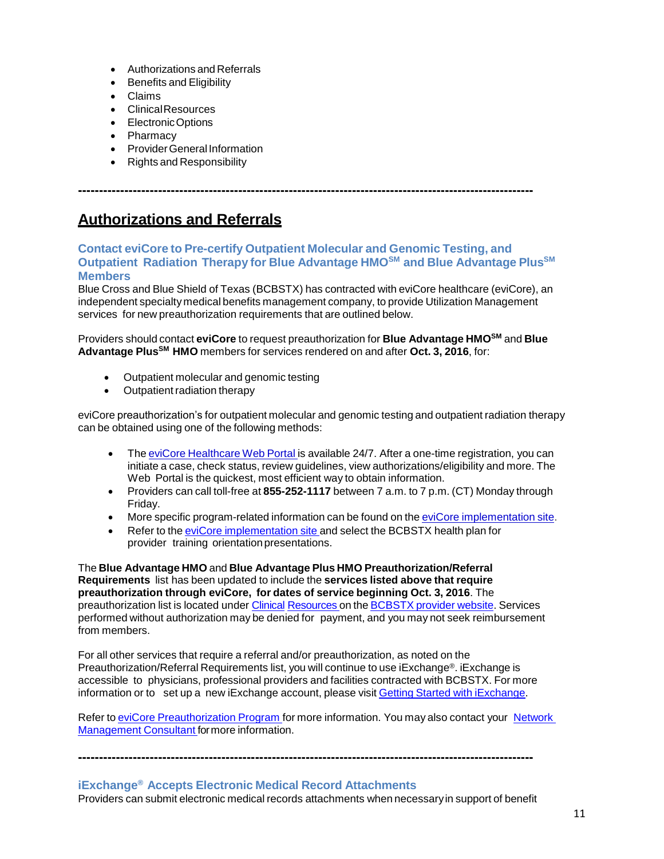- Authorizations and Referrals
- Benefits and Eligibility
- Claims
- ClinicalResources
- ElectronicOptions
- Pharmacy
- Provider General Information
- Rights and Responsibility

**------------------------------------------------------------------------------------------------------------**

# **Authorizations and Referrals**

### **Contact eviCore to Pre-certify Outpatient Molecular and Genomic Testing, and Outpatient Radiation Therapy for Blue Advantage HMOSM and Blue Advantage PlusSM Members**

Blue Cross and Blue Shield of Texas (BCBSTX) has contracted with eviCore healthcare (eviCore), an independent specialty medical benefits management company, to provide Utilization Management services for new preauthorization requirements that are outlined below.

Providers should contact **eviCore** to request preauthorization for **Blue Advantage HMOSM** and **Blue Advantage PlusSM HMO** members for services rendered on and after **Oct. 3, 2016**, for:

- Outpatient molecular and genomic testing
- Outpatient radiation therapy

eviCore preauthorization's for outpatient molecular and genomic testing and outpatient radiation therapy can be obtained using one of the following methods:

- The eviCore [Healthcare](http://www.evicore.com/) Web Portal is available 24/7. After a one-time registration, you can initiate a case, check status, review guidelines, view authorizations/eligibility and more. The Web Portal is the quickest, most efficient way to obtain information.
- Providers can call toll-free at **855-252-1117** between 7 a.m. to 7 p.m. (CT) Monday through Friday.
- More specific program-related information can be found on the eviCore [implementation](https://www.carecorenational.com/page/bcbs-implementations.aspx) site.
- Refer to the eviCore [implementation](https://www.carecorenational.com/page/bcbs-implementations.aspx) site and select the BCBSTX health plan for provider training orientation presentations.

The **Blue Advantage HMO** and **Blue Advantage Plus HMO Preauthorization/Referral Requirements** list has been updated to include the **services listed above that require preauthorization through eviCore, for dates of service beginning Oct. 3, 2016**. The preauthorization list is located under [Clinical](https://www.bcbstx.com/provider/clinical/index.html) [Resources](https://www.bcbstx.com/provider/clinical/index.html) on the [BCBSTX](http://www.bcbstx.com/provider/) provider website. Services performed without authorization may be denied for payment, and you may not seek reimbursement from members.

For all other services that require a referral and/or preauthorization, as noted on the Preauthorization/Referral Requirements list, you will continue to use iExchange®. iExchange is accessible to physicians, professional providers and facilities contracted with BCBSTX. For more information or to set up a new iExchange account, please visit Getting Started with [iExchange.](http://www.bcbstx.com/provider/tools/iexchange.html)

Refer to eviCore [Preauthorization](http://www.bcbstx.com/provider/clinical/evicore.html) Program for more information. You may also contact your [Network](http://www.bcbstx.com/provider/contact_us.html) [Management](http://www.bcbstx.com/provider/contact_us.html) Consultant formore information.

**------------------------------------------------------------------------------------------------------------**

# **iExchange® Accepts Electronic Medical Record Attachments** Providers can submit electronic medical records attachments when necessaryin support of benefit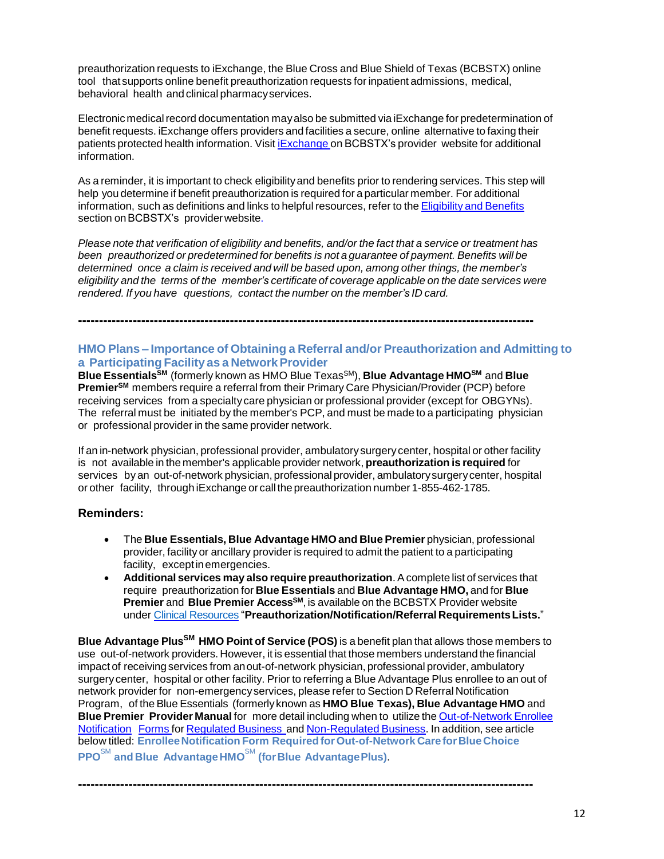preauthorization requests to iExchange, the Blue Cross and Blue Shield of Texas (BCBSTX) online tool that supports online benefit preauthorization requests for inpatient admissions, medical, behavioral health and clinical pharmacyservices.

Electronic medical record documentation may also be submitted via iExchange for predetermination of benefit requests. iExchange offers providers and facilities a secure, online alternative to faxing their patients protected health information. Visit *[iExchange](http://www.bcbstx.com/provider/tools/iexchange_index.html)* on BCBSTX's provider website for additional information.

As a reminder, it is important to check eligibilityand benefits prior to rendering services. This step will help you determine if benefit preauthorization is required for a particular member. For additional information, such as definitions and links to helpful resources, refer to the [Eligibility](http://www.bcbstx.com/provider/claims/eligibility_and_benefits.html) and Benefits section on BCBSTX's provider website.

Please note that verification of eligibility and benefits, and/or the fact that a service or treatment has *been preauthorized or predetermined for benefits is not a guarantee of payment. Benefits will be determined once a claim is received and will be based upon, among other things, the member's eligibility and the terms of the member's certificate of coverage applicable on the date services were rendered. If you have questions, contact the number on the member's ID card.*

**------------------------------------------------------------------------------------------------------------**

# **HMO Plans – Importance of Obtaining a Referral and/or Preauthorization and Admitting to a Participating Facility as a NetworkProvider**

**Blue EssentialsSM** (formerly known as HMO Blue TexasSM), **Blue Advantage HMOSM** and **Blue PremierSM** members require a referral from their Primary Care Physician/Provider (PCP) before receiving services from a specialty care physician or professional provider (except for OBGYNs). The referral must be initiated by the member's PCP, and must be made to a participating physician or professional provider in the same provider network.

If an in-network physician, professional provider, ambulatory surgerycenter, hospital or other facility is not available in the member's applicable provider network, **preauthorization is required** for services byan out-of-network physician, professional provider, ambulatorysurgerycenter, hospital or other facility, through iExchange or call the preauthorization number 1-855-462-1785.

## **Reminders:**

- The **Blue Essentials, Blue Advantage HMO and Blue Premier** physician, professional provider, facility or ancillary provider is required to admit the patient to a participating facility, except in emergencies.
- **Additional services may also require preauthorization**. Acomplete list of services that require preauthorization for **Blue Essentials** and **Blue Advantage HMO,** and for **Blue Premier** and **Blue Premier AccessSM**, is available on the BCBSTX Provider website under [Clinical Resources](https://www.bcbstx.com/provider/clinical/index.html) "**Preauthorization/Notification/Referral RequirementsLists.**"

**Blue Advantage PlusSM HMO Point of Service (POS)** is a benefit plan that allows those members to use out-of-network providers. However, it is essential that those members understand the financial impact of receiving services from anout-of-network physician, professional provider, ambulatory surgerycenter, hospital or other facility. Prior to referring a Blue Advantage Plus enrollee to an out of network provider for non-emergencyservices, please refer to Section D Referral Notification Program, of the Blue Essentials (formerly known as **HMO Blue Texas), Blue Advantage HMO** and **Blue Premier Provider Manual** for more detail including when to utilize the [Out-of-Network](https://www.bcbstx.com/provider/pdf/out-of-network-care-enrollee-notification-form.pdf) Enrollee [Notification](https://www.bcbstx.com/provider/pdf/out-of-network-care-enrollee-notification-form.pdf) Forms for [Regulated](http://www.bcbstx.com/provider/pdf/out-of-network-care-enrollee-notification-form.pdf) [Business](http://www.bcbstx.com/provider/pdf/out-of-network-care-enrollee-notification-form.pdf) and [Non-Regulated](http://www.bcbstx.com/provider/pdf/out-of-network-care-enrollee-notification-form-nr.pdf) Business. In addition, see article below titled: **EnrolleeNotification Form RequiredforOut-of-Network CareforBlueChoice PPO**SM **and Blue AdvantageHMO**SM **(forBlue AdvantagePlus)**.

**------------------------------------------------------------------------------------------------------------**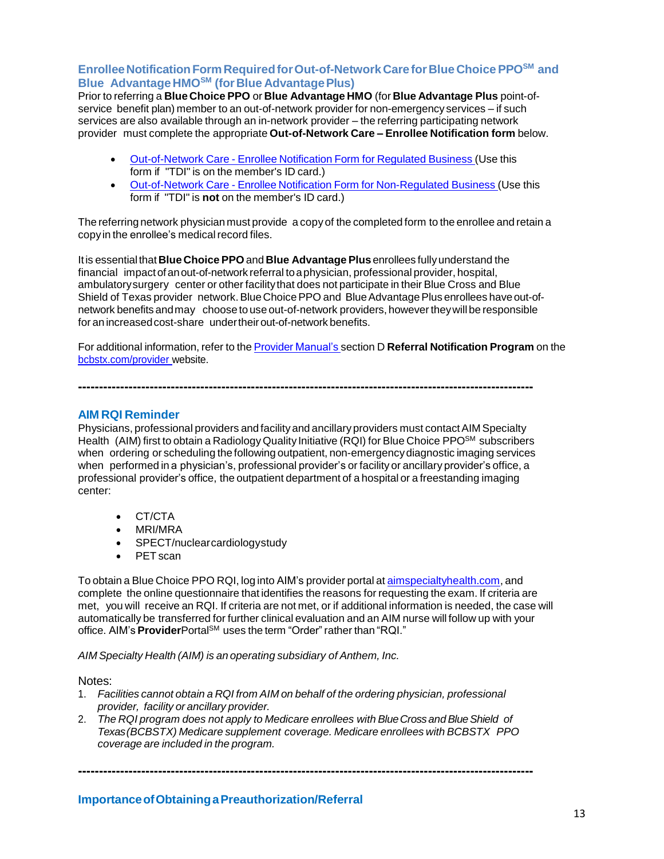# **EnrolleeNotificationFormRequiredforOut-of-NetworkCareforBlue ChoicePPOSM and Blue AdvantageHMOSM (forBlue AdvantagePlus)**

Prior to referring a **Blue Choice PPO** or **Blue Advantage HMO** (for **Blue Advantage Plus** point-ofservice benefit plan) member to an out-of-network provider for non-emergency services – if such services are also available through an in-network provider – the referring participating network provider must complete the appropriate **Out-of-Network Care – Enrollee Notification form** below.

- [Out-of-Network](http://www.bcbstx.com/provider/pdf/out-of-network-care-enrollee-notification-form.pdf) Care Enrollee Notification Form for Regulated Business (Use this form if "TDI" is on the member's ID card.)
- [Out-of-Network](http://www.bcbstx.com/provider/pdf/out-of-network-care-enrollee-notification-form-nr.pdf) Care Enrollee Notification Form for Non-Regulated Business (Use this form if "TDI" is **not** on the member's ID card.)

The referring network physician must provide a copy of the completed form to the enrollee and retain a copy in the enrollee's medical record files.

Itis essentialthat**Blue Choice PPO** and **Blue Advantage Plus** enrollees fullyunderstand the financial impactof anout-of-network referral toaphysician, professional provider, hospital, ambulatorysurgery center or other facilitythat does not participate in their Blue Cross and Blue Shield of Texas provider network. Blue Choice PPO and Blue Advantage Plus enrollees have out-ofnetwork benefits and may choose to use out-of-network providers, however they will be responsible for an increased cost-share under their out-of-network benefits.

For additional information, refer to the Provider [Manual's](http://www.bcbstx.com/provider/gri/index.html) section D **Referral Notification Program** on the [bcbstx.com/provider](http://www.bcbstx.com/provider/index.html) website.

# **AIM RQI Reminder**

Physicians, professional providers and facility and ancillary providers must contact AIM Specialty Health (AIM) first to obtain a Radiology Quality Initiative (RQI) for Blue Choice PPO<sup>SM</sup> subscribers when ordering or scheduling the following outpatient, non-emergencydiagnostic imaging services when performed in a physician's, professional provider's or facility or ancillary provider's office, a professional provider's office, the outpatient department of a hospital or a freestanding imaging center:

**------------------------------------------------------------------------------------------------------------**

- CT/CTA
- MRI/MRA
- SPECT/nuclearcardiologystudy
- PET scan

To obtain a Blue Choice PPO RQI, log into AIM's provider portal at [aimspecialtyhealth.com,](http://www.aimspecialtyhealth.com/) and complete the online questionnaire that identifies the reasons for requesting the exam. If criteria are met, you will receive an RQI. If criteria are not met, or if additional information is needed, the case will automatically be transferred for further clinical evaluation and an AIM nurse will follow up with your office. AIM's **Provider**Portal<sup>SM</sup> uses the term "Order" rather than "RQI."

*AIM Specialty Health (AIM) is an operating subsidiary of Anthem, Inc.*

Notes:

- 1. *Facilities cannot obtain a RQI from AIM on behalf of the ordering physician, professional provider, facility or ancillary provider.*
- 2. *The RQI program does not apply to Medicare enrollees with BlueCrossandBlueShield of Texas(BCBSTX) Medicare supplement coverage. Medicare enrollees with BCBSTX PPO coverage are included in the program.*

**------------------------------------------------------------------------------------------------------------**

**ImportanceofObtainingaPreauthorization/Referral**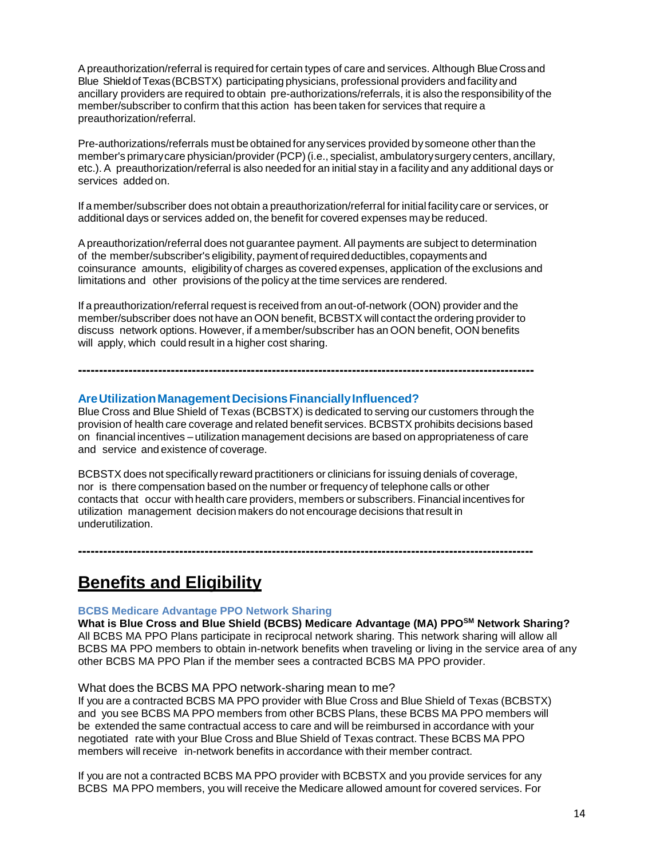Apreauthorization/referral is required for certain types of care and services. Although BlueCrossand Blue ShieldofTexas(BCBSTX) participating physicians, professional providers and facilityand ancillary providers are required to obtain pre-authorizations/referrals, it is also the responsibilityof the member/subscriber to confirm that this action has been taken for services that require a preauthorization/referral.

Pre-authorizations/referrals must be obtained for anyservices provided by someone other than the member's primarycare physician/provider (PCP)(i.e., specialist, ambulatorysurgery centers, ancillary, etc.). A preauthorization/referral is also needed for an initial stay in a facility and any additional days or services added on.

If a member/subscriber does not obtain a preauthorization/referral for initial facility care or services, or additional days or services added on, the benefit for covered expenses maybe reduced.

Apreauthorization/referral does not guarantee payment. All payments are subject to determination of the member/subscriber's eligibility, payment ofrequireddeductibles,copayments and coinsurance amounts, eligibilityof charges as covered expenses, application of the exclusions and limitations and other provisions of the policy at the time services are rendered.

If a preauthorization/referral request is received from anout-of-network (OON) provider and the member/subscriber does not have an OON benefit, BCBSTX will contact the ordering provider to discuss network options. However, if a member/subscriber has an OON benefit, OON benefits will apply, which could result in a higher cost sharing.

## **AreUtilizationManagementDecisionsFinanciallyInfluenced?**

Blue Cross and Blue Shield of Texas (BCBSTX) is dedicated to serving our customers through the provision of health care coverage and related benefit services. BCBSTX prohibits decisions based on financial incentives – utilization management decisions are based on appropriateness of care and service and existence of coverage.

**------------------------------------------------------------------------------------------------------------**

BCBSTX does not specifically reward practitioners or clinicians for issuing denials of coverage, nor is there compensation based on the number or frequency of telephone calls or other contacts that occur with health care providers, members or subscribers. Financial incentives for utilization management decision makers do not encourage decisions thatresult in underutilization.

**------------------------------------------------------------------------------------------------------------**

# **Benefits and Eligibility**

#### **BCBS Medicare Advantage PPO Network Sharing**

**What is Blue Cross and Blue Shield (BCBS) Medicare Advantage (MA) PPOSM Network Sharing?** All BCBS MA PPO Plans participate in reciprocal network sharing. This network sharing will allow all BCBS MA PPO members to obtain in-network benefits when traveling or living in the service area of any other BCBS MA PPO Plan if the member sees a contracted BCBS MA PPO provider.

#### What does the BCBS MA PPO network-sharing mean to me?

If you are a contracted BCBS MA PPO provider with Blue Cross and Blue Shield of Texas (BCBSTX) and you see BCBS MA PPO members from other BCBS Plans, these BCBS MA PPO members will be extended the same contractual access to care and will be reimbursed in accordance with your negotiated rate with your Blue Cross and Blue Shield of Texas contract. These BCBS MA PPO members will receive in-network benefits in accordance with their member contract.

If you are not a contracted BCBS MA PPO provider with BCBSTX and you provide services for any BCBS MA PPO members, you will receive the Medicare allowed amount for covered services. For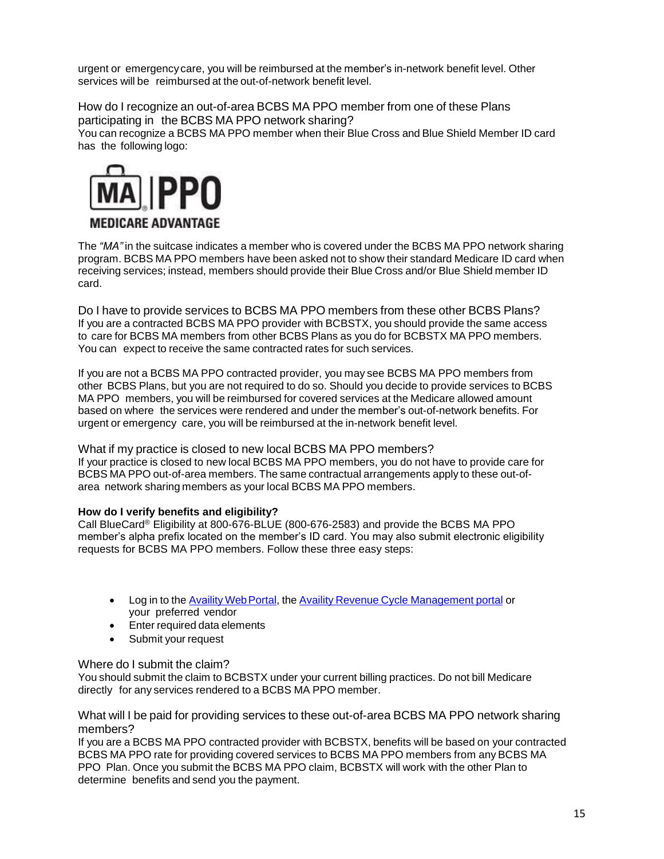urgent or emergency care, you will be reimbursed at the member's in-network benefit level. Other services will be reimbursed at the out-of-network benefit level.

How do I recognize an out-of-area BCBS MA PPO member from one of these Plans participating in the BCBS MA PPO network sharing? You can recognize a BCBS MA PPO member when their Blue Cross and Blue Shield Member ID card has the following logo:



The *"MA"* in the suitcase indicates a member who is covered under the BCBS MA PPO network sharing program. BCBS MA PPO members have been asked not to show their standard Medicare ID card when receiving services; instead, members should provide their Blue Cross and/or Blue Shield member ID card.

Do I have to provide services to BCBS MA PPO members from these other BCBS Plans? If you are a contracted BCBS MA PPO provider with BCBSTX, you should provide the same access to care for BCBS MA members from other BCBS Plans as you do for BCBSTX MA PPO members. You can expect to receive the same contracted rates for such services.

If you are not a BCBS MA PPO contracted provider, you may see BCBS MA PPO members from other BCBS Plans, but you are not required to do so. Should you decide to provide services to BCBS MA PPO members, you will be reimbursed for covered services at the Medicare allowed amount based on where the services were rendered and under the member's out-of-network benefits. For urgent or emergency care, you will be reimbursed at the in-network benefit level.

What if my practice is closed to new local BCBS MA PPO members? If your practice is closed to new local BCBS MA PPO members, you do not have to provide care for BCBS MA PPO out-of-area members. The same contractual arrangements apply to these out-ofarea network sharing members as your local BCBS MA PPO members.

## **How do I verify benefits and eligibility?**

Call BlueCard® Eligibility at 800-676-BLUE (800-676-2583) and provide the BCBS MA PPO member's alpha prefix located on the member's ID card. You may also submit electronic eligibility requests for BCBS MA PPO members. Follow these three easy steps:

- Log in to the Availity Web Portal, the [Availity Revenue Cycle Management portal](https://www.availity.com/) or your preferred vendor
- Enter required data elements
- Submit your request

# Where do I submit the claim?

You should submit the claim to BCBSTX under your current billing practices. Do not bill Medicare directly for any services rendered to a BCBS MA PPO member.

What will I be paid for providing services to these out-of-area BCBS MA PPO network sharing members?

If you are a BCBS MA PPO contracted provider with BCBSTX, benefits will be based on your contracted BCBS MA PPO rate for providing covered services to BCBS MA PPO members from any BCBS MA PPO Plan. Once you submit the BCBS MA PPO claim, BCBSTX will work with the other Plan to determine benefits and send you the payment.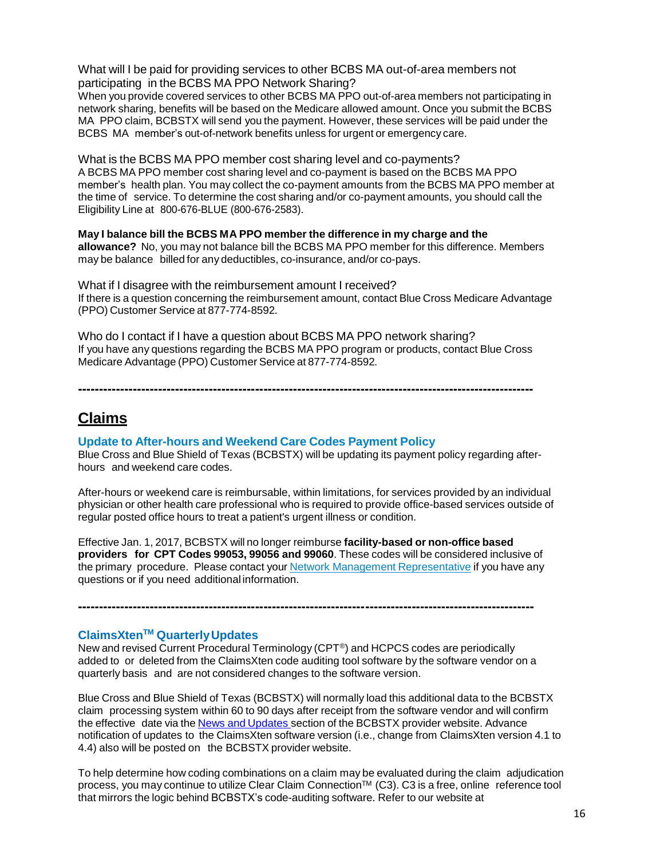What will I be paid for providing services to other BCBS MA out-of-area members not participating in the BCBS MA PPO Network Sharing?

When you provide covered services to other BCBS MA PPO out-of-area members not participating in network sharing, benefits will be based on the Medicare allowed amount. Once you submit the BCBS MA PPO claim, BCBSTX will send you the payment. However, these services will be paid under the BCBS MA member's out-of-network benefits unless for urgent or emergency care.

What is the BCBS MA PPO member cost sharing level and co-payments? A BCBS MA PPO member cost sharing level and co-payment is based on the BCBS MA PPO member's health plan. You may collect the co-payment amounts from the BCBS MA PPO member at the time of service. To determine the cost sharing and/or co-payment amounts, you should call the Eligibility Line at 800-676-BLUE (800-676-2583).

**May I balance bill the BCBS MA PPO member the difference in my charge and the allowance?** No, you may not balance bill the BCBS MA PPO member for this difference. Members may be balance billed for any deductibles, co-insurance, and/or co-pays.

What if I disagree with the reimbursement amount I received? If there is a question concerning the reimbursement amount, contact Blue Cross Medicare Advantage (PPO) Customer Service at 877-774-8592*.*

Who do I contact if I have a question about BCBS MA PPO network sharing? If you have any questions regarding the BCBS MA PPO program or products, contact Blue Cross Medicare Advantage (PPO) Customer Service at 877-774-8592*.*

**------------------------------------------------------------------------------------------------------------**

**Claims**

## **Update to After-hours and Weekend Care Codes Payment Policy**

Blue Cross and Blue Shield of Texas (BCBSTX) will be updating its payment policy regarding afterhours and weekend care codes.

After-hours or weekend care is reimbursable, within limitations, for services provided by an individual physician or other health care professional who is required to provide office-based services outside of regular posted office hours to treat a patient's urgent illness or condition.

Effective Jan. 1, 2017, BCBSTX will no longer reimburse **facility-based or non-office based providers for CPT Codes 99053, 99056 and 99060**. These codes will be considered inclusive of the primary procedure. Please contact your Network Management [Representative](https://www.bcbstx.com/provider/contact_us.html#localnetwork) if you have any questions or if you need additional information.

**------------------------------------------------------------------------------------------------------------**

# **ClaimsXtenTM QuarterlyUpdates**

New and revised Current Procedural Terminology (CPT®) and HCPCS codes are periodically added to or deleted from the ClaimsXten code auditing tool software by the software vendor on a quarterly basis and are not considered changes to the software version.

Blue Cross and Blue Shield of Texas (BCBSTX) will normally load this additional data to the BCBSTX claim processing system within 60 to 90 days after receipt from the software vendor and will confirm the effective date via the News and [Updates](http://www.bcbstx.com/provider/news/index.html) section of the BCBSTX provider website. Advance notification of updates to the ClaimsXten software version (i.e., change from ClaimsXten version 4.1 to 4.4) also will be posted on the BCBSTX provider website.

To help determine how coding combinations on a claim may be evaluated during the claim adjudication process, you may continue to utilize Clear Claim Connection™ (C3). C3 is a free, online reference tool that mirrors the logic behind BCBSTX's code-auditing software. Refer to our website at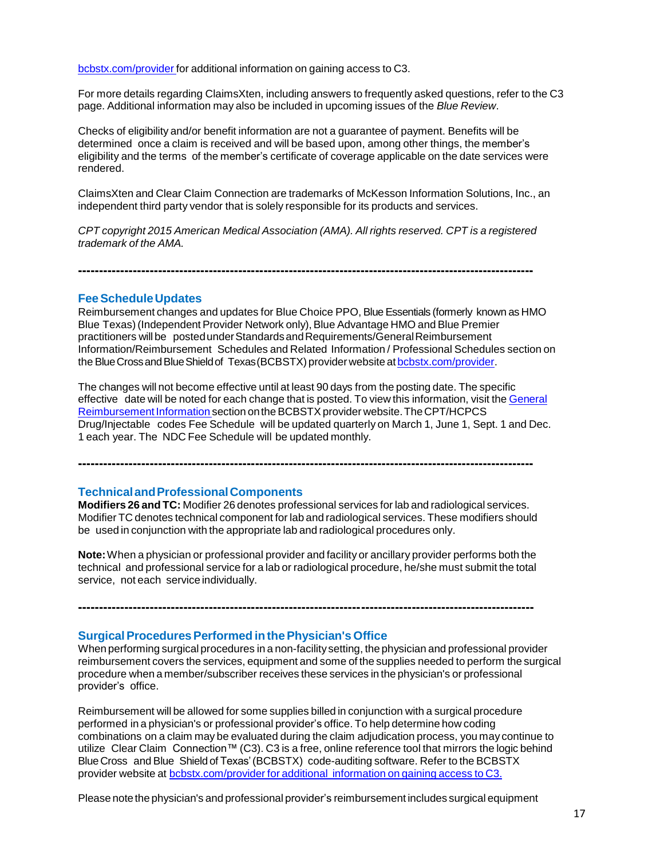[bcbstx.com/provider](http://www.bcbstx.com/provider/) for additional information on gaining access to C3.

For more details regarding ClaimsXten, including answers to frequently asked questions, refer to the C3 page. Additional information may also be included in upcoming issues of the *Blue Review*.

Checks of eligibility and/or benefit information are not a guarantee of payment. Benefits will be determined once a claim is received and will be based upon, among other things, the member's eligibility and the terms of the member's certificate of coverage applicable on the date services were rendered.

ClaimsXten and Clear Claim Connection are trademarks of McKesson Information Solutions, Inc., an independent third party vendor that is solely responsible for its products and services.

*CPT copyright 2015 American Medical Association (AMA). All rights reserved. CPT is a registered trademark of the AMA.*

# **------------------------------------------------------------------------------------------------------------**

#### **FeeScheduleUpdates**

Reimbursement changes and updates for Blue Choice PPO, Blue Essentials (formerly known as HMO Blue Texas) (Independent Provider Network only), Blue Advantage HMO and Blue Premier practitioners willbe postedunderStandardsandRequirements/GeneralReimbursement Information/Reimbursement Schedules and Related Information / Professional Schedules section on the BlueCrossandBlueShieldof Texas(BCBSTX) provider website at [bcbstx.com/provider.](https://www.bcbstx.com/provider/)

The changes will not become effective until at least 90 days from the posting date. The specific effective date will be noted for each change that is posted. To view this information, visit the [General](https://www.bcbstx.com/provider/gri/index.html) Reimbursement Information section on the BCBSTX provider website. The CPT/HCPCS Drug/Injectable codes Fee Schedule will be updated quarterly on March 1, June 1, Sept. 1 and Dec. 1 each year. The NDC Fee Schedule will be updated monthly.

**------------------------------------------------------------------------------------------------------------**

#### **TechnicalandProfessionalComponents**

**Modifiers 26 and TC:** Modifier 26 denotes professional services for lab and radiological services. Modifier TC denotes technical component for lab and radiological services. These modifiers should be used in conjunction with the appropriate lab and radiological procedures only.

**Note:**When a physician or professional provider and facility or ancillary provider performs both the technical and professional service for a lab or radiological procedure, he/she must submit the total service, not each service individually.

**------------------------------------------------------------------------------------------------------------**

**SurgicalProceduresPerformed inthePhysician's Office**

When performing surgical procedures in a non-facilitysetting, the physician and professional provider reimbursement covers the services, equipment and some of the supplies needed to perform the surgical procedure when a member/subscriber receives these services in the physician's or professional provider's office.

Reimbursement will be allowed for some supplies billed in conjunction with a surgical procedure performed in a physician's or professional provider's office. To help determine how coding combinations on a claim may be evaluated during the claim adjudication process, you may continue to utilize Clear Claim Connection™ (C3). C3 is a free, online reference tool that mirrors the logic behind BlueCross and Blue Shield of Texas'(BCBSTX) code-auditing software. Refer to the BCBSTX provider website at [bcbstx.com/provider](https://www.bcbstx.com/provider/tools/clear_claim_connection.html) for additional information on gaining access to C3.

Please note the physician's and professional provider's reimbursement includes surgical equipment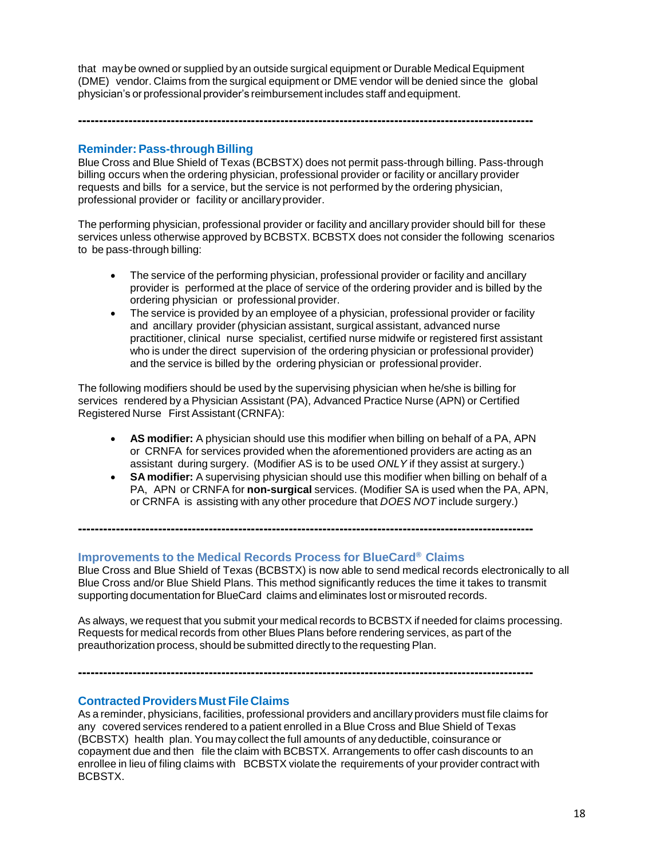that maybe owned or supplied by an outside surgical equipment or Durable Medical Equipment (DME) vendor. Claims from the surgical equipment or DME vendor will be denied since the global physician's or professional provider's reimbursement includes staff andequipment.

**------------------------------------------------------------------------------------------------------------**

# **Reminder:Pass-through Billing**

Blue Cross and Blue Shield of Texas (BCBSTX) does not permit pass-through billing. Pass-through billing occurs when the ordering physician, professional provider or facility or ancillary provider requests and bills for a service, but the service is not performed by the ordering physician, professional provider or facility or ancillaryprovider.

The performing physician, professional provider or facility and ancillary provider should bill for these services unless otherwise approved by BCBSTX. BCBSTX does not consider the following scenarios to be pass-through billing:

- The service of the performing physician, professional provider or facility and ancillary provider is performed at the place of service of the ordering provider and is billed by the ordering physician or professional provider.
- The service is provided by an employee of a physician, professional provider or facility and ancillary provider (physician assistant, surgical assistant, advanced nurse practitioner, clinical nurse specialist, certified nurse midwife or registered first assistant who is under the direct supervision of the ordering physician or professional provider) and the service is billed by the ordering physician or professional provider.

The following modifiers should be used by the supervising physician when he/she is billing for services rendered by a Physician Assistant (PA), Advanced Practice Nurse (APN) or Certified Registered Nurse First Assistant (CRNFA):

- **AS modifier:** A physician should use this modifier when billing on behalf of a PA, APN or CRNFA for services provided when the aforementioned providers are acting as an assistant during surgery. (Modifier AS is to be used *ONLY* if they assist at surgery.)
- **SA modifier:** A supervising physician should use this modifier when billing on behalf of a PA, APN or CRNFA for **non-surgical** services. (Modifier SA is used when the PA, APN, or CRNFA is assisting with any other procedure that *DOES NOT* include surgery.)

# **Improvements to the Medical Records Process for BlueCard® Claims**

Blue Cross and Blue Shield of Texas (BCBSTX) is now able to send medical records electronically to all Blue Cross and/or Blue Shield Plans. This method significantly reduces the time it takes to transmit supporting documentation for BlueCard claims and eliminates lost ormisrouted records.

**------------------------------------------------------------------------------------------------------------**

As always, we request that you submit your medical records to BCBSTX if needed for claims processing. Requests for medical records from other Blues Plans before rendering services, as part of the preauthorization process, should be submitted directly to the requesting Plan.

## **ContractedProvidersMust File Claims**

As a reminder, physicians, facilities, professional providers and ancillary providers must file claims for any covered services rendered to a patient enrolled in a Blue Cross and Blue Shield of Texas (BCBSTX) health plan. You may collect the full amounts of any deductible, coinsurance or copayment due and then file the claim with BCBSTX. Arrangements to offer cash discounts to an enrollee in lieu of filing claims with BCBSTX violate the requirements of your provider contract with BCBSTX.

**------------------------------------------------------------------------------------------------------------**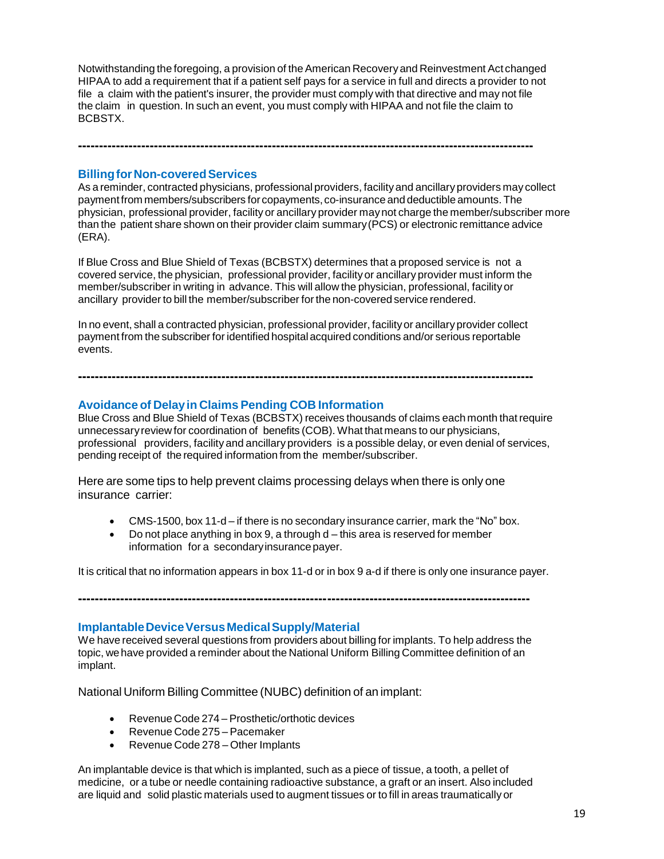Notwithstanding the foregoing, a provision of theAmerican Recoveryand Reinvestment Act changed HIPAA to add a requirement that if a patient self pays for a service in full and directs a provider to not file a claim with the patient's insurer, the provider must comply with that directive and may not file the claim in question. In such an event, you must comply with HIPAA and not file the claim to BCBSTX.

**------------------------------------------------------------------------------------------------------------**

#### **Billing for Non-covered Services**

As a reminder, contracted physicians, professional providers, facilityand ancillaryproviders may collect paymentfrom members/subscribers for copayments, co-insurance and deductible amounts.The physician, professional provider, facility or ancillary provider maynot charge the member/subscriber more than the patient share shown on their provider claim summary(PCS) or electronic remittance advice (ERA).

If Blue Cross and Blue Shield of Texas (BCBSTX) determines that a proposed service is not a covered service, the physician, professional provider, facility or ancillary provider must inform the member/subscriber in writing in advance. This will allow the physician, professional, facility or ancillary provider to bill the member/subscriber forthe non-covered service rendered.

In no event, shall a contracted physician, professional provider, facilityor ancillaryprovider collect payment from the subscriber for identified hospitalacquired conditions and/or serious reportable events.

**------------------------------------------------------------------------------------------------------------**

## **Avoidance of Delayin Claims Pending COB Information**

Blue Cross and Blue Shield of Texas (BCBSTX) receives thousands of claims each month thatrequire unnecessaryreview for coordination of benefits (COB). What that means to our physicians, professional providers, facility and ancillary providers is a possible delay, or even denial of services, pending receipt of the required information from the member/subscriber.

Here are some tips to help prevent claims processing delays when there is only one insurance carrier:

- CMS-1500, box 11-d if there is no secondary insurance carrier, mark the "No" box.
- $\bullet$  Do not place anything in box 9, a through d this area is reserved for member information for a secondary insurance payer.

It is critical that no information appears in box 11-d or in box 9 a-d if there is only one insurance payer.

**-----------------------------------------------------------------------------------------------------------**

### **ImplantableDeviceVersusMedicalSupply/Material**

We have received several questions from providers about billing for implants. To help address the topic, we have provided a reminder about the National Uniform Billing Committee definition of an implant.

National Uniform Billing Committee (NUBC) definition of an implant:

- Revenue Code 274 Prosthetic/orthotic devices
- Revenue Code 275 Pacemaker
- Revenue Code 278 Other Implants

An implantable device is that which is implanted, such as a piece of tissue, a tooth, a pellet of medicine, or a tube or needle containing radioactive substance, a graft or an insert. Also included are liquid and solid plastic materials used to augment tissues or to fill in areas traumatically or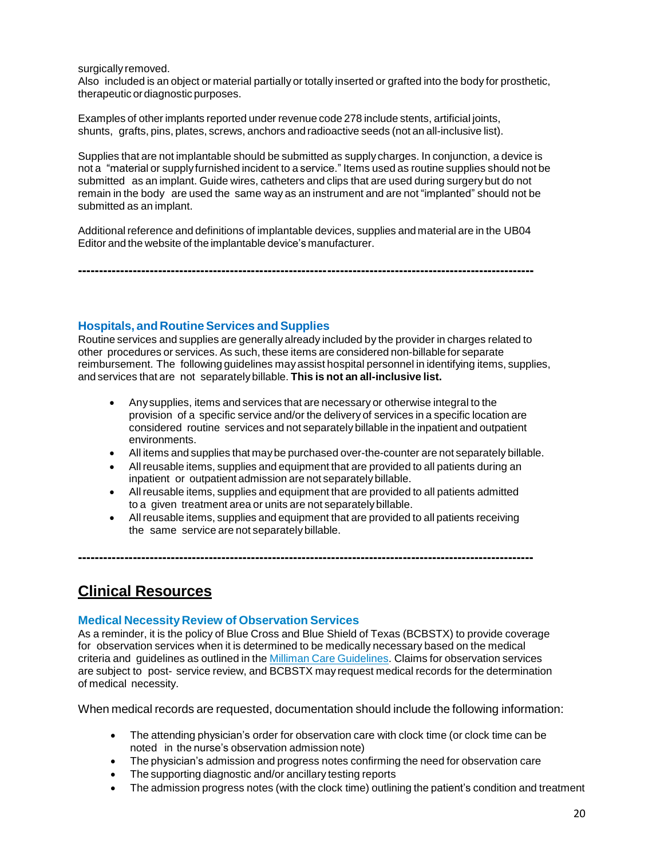#### surgically removed.

Also included is an object or material partially or totally inserted or grafted into the body for prosthetic, therapeutic ordiagnostic purposes.

Examples of other implants reported under revenue code 278 include stents, artificial joints, shunts, grafts, pins, plates, screws, anchors and radioactive seeds (not an all-inclusive list).

Supplies that are not implantable should be submitted as supply charges. In conjunction, a device is not a "material or supply furnished incident to a service." Items used as routine supplies should not be submitted as an implant. Guide wires, catheters and clips that are used during surgery but do not remain in the body are used the same way as an instrument and are not "implanted" should not be submitted as an implant.

Additional reference and definitions of implantable devices, supplies and material are in the UB04 Editor and the website of the implantable device's manufacturer.

**------------------------------------------------------------------------------------------------------------**

**Hospitals, and RoutineServices and Supplies**

Routine services and supplies are generally already included by the provider in charges related to other procedures or services. As such, these items are considered non-billable for separate reimbursement. The following guidelines may assist hospital personnel in identifying items, supplies, and services that are not separatelybillable. **This is not an all-inclusive list.**

- Anysupplies, items and services that are necessary or otherwise integral to the provision of a specific service and/or the delivery of services in a specific location are considered routine services and not separately billable in the inpatient and outpatient environments.
- All items and supplies that maybe purchased over-the-counter are not separately billable.
- Allreusable items, supplies and equipment that are provided to all patients during an inpatient or outpatient admission are not separatelybillable.
- Allreusable items, supplies and equipment that are provided to all patients admitted to a given treatment area or units are not separately billable.
- Allreusable items, supplies and equipment that are provided to all patients receiving the same service are not separately billable.

**------------------------------------------------------------------------------------------------------------**

# **Clinical Resources**

## **Medical Necessity Review of Observation Services**

As a reminder, it is the policy of Blue Cross and Blue Shield of Texas (BCBSTX) to provide coverage for observation services when it is determined to be medically necessary based on the medical criteria and guidelines as outlined in the Milliman Care [Guidelines.](https://www.mcg.com/care-guidelines/care-guidelines/?gclid=EAIaIQobChMI_PTXromB3QIVBgtpCh09pw0pEAAYASAAEgJaQfD_BwE) Claims for observation services are subject to post- service review, and BCBSTX may request medical records for the determination of medical necessity.

When medical records are requested, documentation should include the following information:

- The attending physician's order for observation care with clock time (or clock time can be noted in the nurse's observation admission note)
- The physician's admission and progress notes confirming the need for observation care
- The supporting diagnostic and/or ancillary testing reports
- The admission progress notes (with the clock time) outlining the patient's condition and treatment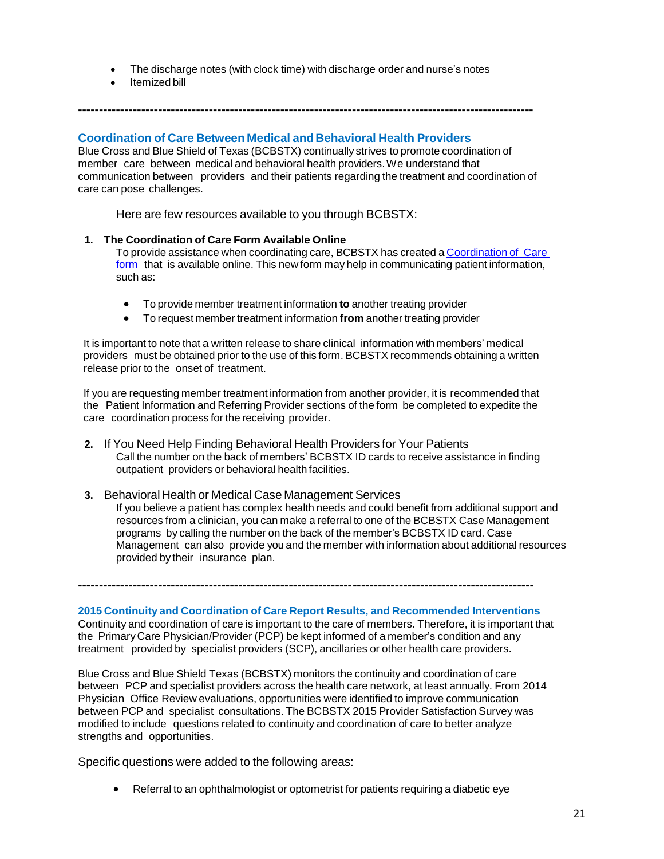The discharge notes (with clock time) with discharge order and nurse's notes

**------------------------------------------------------------------------------------------------------------**

Itemized bill

# **Coordination of Care Between Medical and Behavioral Health Providers**

Blue Cross and Blue Shield of Texas (BCBSTX) continually strives to promote coordination of member care between medical and behavioral health providers.We understand that communication between providers and their patients regarding the treatment and coordination of care can pose challenges.

Here are few resources available to you through BCBSTX:

## **1. The Coordination of Care Form Available Online**

To provide assistance when coordinating care, BCBSTX has created a [Coordination](http://www.bcbstx.com/provider/pdf/bh_coordination_care.pdf) of Care [form](http://www.bcbstx.com/provider/pdf/bh_coordination_care.pdf) that is available online. This new form may help in communicating patient information, such as:

- To provide member treatment information **to** another treating provider
- To request member treatment information **from** another treating provider

It is important to note that a written release to share clinical information with members' medical providers must be obtained prior to the use of this form. BCBSTX recommends obtaining a written release prior to the onset of treatment.

If you are requesting member treatment information from another provider, it is recommended that the Patient Information and Referring Provider sections of the form be completed to expedite the care coordination process for the receiving provider.

**2.** If You Need Help Finding Behavioral Health Providers for Your Patients Call the number on the back of members' BCBSTX ID cards to receive assistance in finding outpatient providers or behavioral health facilities.

#### **3.** Behavioral Health or Medical Case Management Services If you believe a patient has complex health needs and could benefit from additional support and resources from a clinician, you can make a referral to one of the BCBSTX Case Management programs by calling the number on the back of the member's BCBSTX ID card. Case Management can also provide you and the member with information about additional resources provided by their insurance plan.

**------------------------------------------------------------------------------------------------------------**

**2015 Continuity and Coordination of Care Report Results, and Recommended Interventions** Continuity and coordination of care is important to the care of members. Therefore, it is important that the PrimaryCare Physician/Provider (PCP) be kept informed of a member's condition and any treatment provided by specialist providers (SCP), ancillaries or other health care providers.

Blue Cross and Blue Shield Texas (BCBSTX) monitors the continuity and coordination of care between PCP and specialist providers across the health care network, at least annually. From 2014 Physician Office Review evaluations, opportunities were identified to improve communication between PCP and specialist consultations. The BCBSTX 2015 Provider Satisfaction Survey was modified to include questions related to continuity and coordination of care to better analyze strengths and opportunities.

Specific questions were added to the following areas:

Referral to an ophthalmologist or optometrist for patients requiring a diabetic eye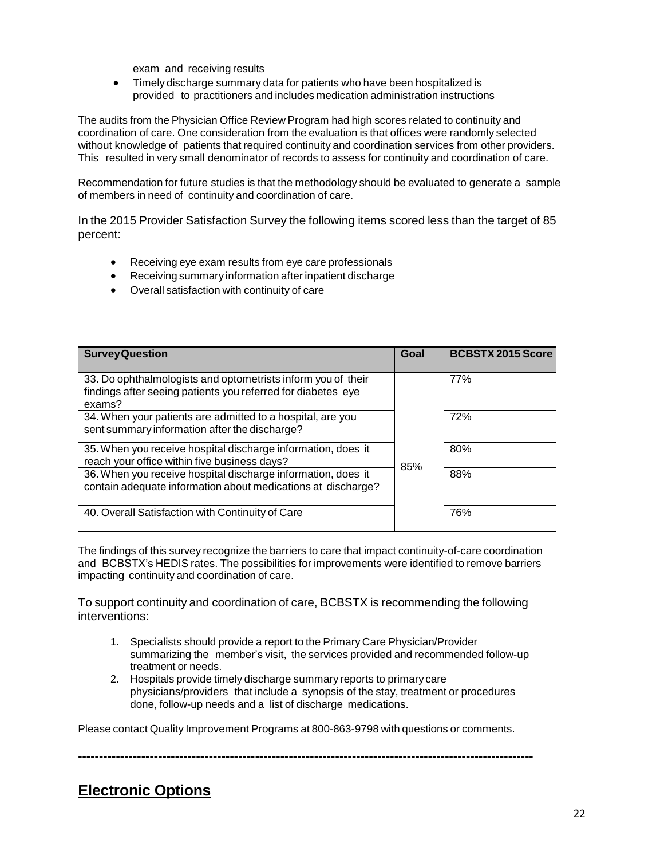exam and receiving results

 Timely discharge summary data for patients who have been hospitalized is provided to practitioners and includes medication administration instructions

The audits from the Physician Office Review Program had high scores related to continuity and coordination of care. One consideration from the evaluation is that offices were randomly selected without knowledge of patients that required continuity and coordination services from other providers. This resulted in very small denominator of records to assess for continuity and coordination of care.

Recommendation for future studies is that the methodology should be evaluated to generate a sample of members in need of continuity and coordination of care.

In the 2015 Provider Satisfaction Survey the following items scored less than the target of 85 percent:

- Receiving eye exam results from eye care professionals
- Receiving summary information after inpatient discharge
- Overall satisfaction with continuity of care

| <b>Survey Question</b>                                                                                                                 | Goal | <b>BCBSTX 2015 Score</b> |
|----------------------------------------------------------------------------------------------------------------------------------------|------|--------------------------|
| 33. Do ophthalmologists and optometrists inform you of their<br>findings after seeing patients you referred for diabetes eye<br>exams? |      | 77%                      |
| 34. When your patients are admitted to a hospital, are you<br>sent summary information after the discharge?                            |      | 72%                      |
| 35. When you receive hospital discharge information, does it<br>reach your office within five business days?                           | 85%  | 80%                      |
| 36. When you receive hospital discharge information, does it<br>contain adequate information about medications at discharge?           |      | 88%                      |
| 40. Overall Satisfaction with Continuity of Care                                                                                       |      | 76%                      |

The findings of this survey recognize the barriers to care that impact continuity-of-care coordination and BCBSTX's HEDIS rates. The possibilities for improvements were identified to remove barriers impacting continuity and coordination of care.

To support continuity and coordination of care, BCBSTX is recommending the following interventions:

- 1. Specialists should provide a report to the Primary Care Physician/Provider summarizing the member's visit, the services provided and recommended follow-up treatment or needs.
- 2. Hospitals provide timely discharge summary reports to primary care physicians/providers that include a synopsis of the stay, treatment or procedures done, follow-up needs and a list of discharge medications.

Please contact Quality Improvement Programs at 800-863-9798 with questions or comments.

**------------------------------------------------------------------------------------------------------------**

# **Electronic Options**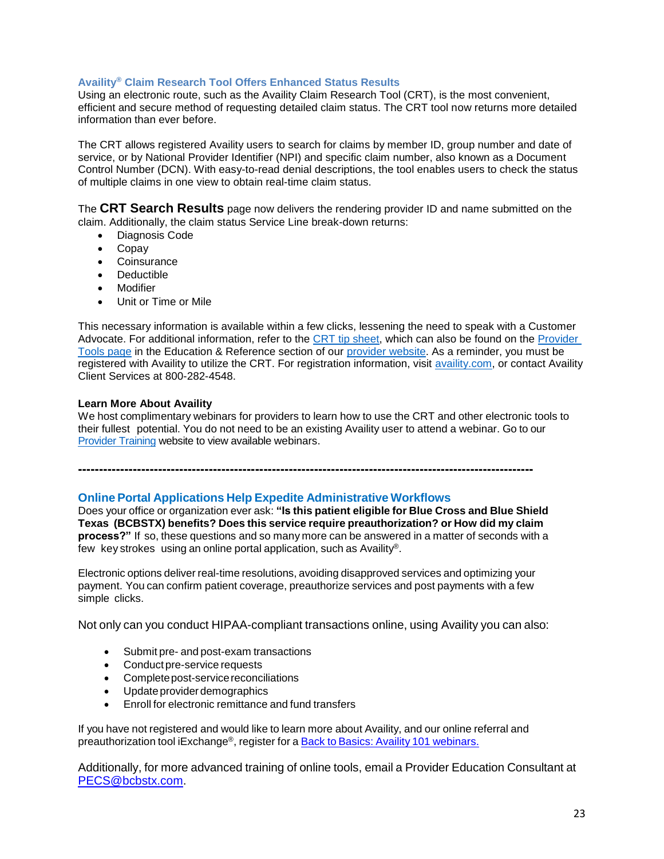## **Availity® Claim Research Tool Offers Enhanced Status Results**

Using an electronic route, such as the Availity Claim Research Tool (CRT), is the most convenient, efficient and secure method of requesting detailed claim status. The CRT tool now returns more detailed information than ever before.

The CRT allows registered Availity users to search for claims by member ID, group number and date of service, or by National Provider Identifier (NPI) and specific claim number, also known as a Document Control Number (DCN). With easy-to-read denial descriptions, the tool enables users to check the status of multiple claims in one view to obtain real-time claim status.

The **CRT Search Results** page now delivers the rendering provider ID and name submitted on the claim. Additionally, the claim status Service Line break-down returns:

- Diagnosis Code
- Copay
- Coinsurance
- Deductible
- Modifier
- Unit or Time or Mile

This necessary information is available within a few clicks, lessening the need to speak with a Customer Advocate. For additional information, refer to the [CRT tip sheet,](https://www.bcbstx.com/provider/pdf/availity_crt_online_tip_sheet.pdf) which can also be found on the Provider [Tools page](https://www.bcbstx.com/provider/tools/index.html) in the Education & Reference section of our [provider website.](https://www.bcbstx.com/provider/) As a reminder, you must be registered with Availity to utilize the CRT. For registration information, visit [availity.com,](https://www.availity.com/) or contact Availity Client Services at 800-282-4548.

#### **Learn More About Availity**

We host complimentary webinars for providers to learn how to use the CRT and other electronic tools to their fullest potential. You do not need to be an existing Availity user to attend a webinar. Go to our [Provider Training](https://www.bcbstx.com/provider/training/index.html) website to view available webinars.

**------------------------------------------------------------------------------------------------------------**

#### **Online Portal Applications Help Expedite Administrative Workflows**

Does your office or organization ever ask: **"Is this patient eligible for Blue Cross and Blue Shield Texas (BCBSTX) benefits? Does this service require preauthorization? or How did my claim process?"** If so, these questions and so many more can be answered in a matter of seconds with a few key strokes using an online portal application, such as Availity®.

Electronic options deliver real-time resolutions, avoiding disapproved services and optimizing your payment. You can confirm patient coverage, preauthorize services and post payments with a few simple clicks.

Not only can you conduct HIPAA-compliant transactions online, using Availity you can also:

- Submit pre- and post-exam transactions
- Conduct pre-service requests
- Complete post-service reconciliations
- Update provider demographics
- Enroll for electronic remittance and fund transfers

If you have not registered and would like to learn more about Availity, and our online referral and preauthorization tool iExchange®, register for a Back to Basics: Availity 101 [webinars](http://www.bcbstx.com/provider/training/availity.html).

Additionally, for more advanced training of online tools, email a Provider Education Consultant at [PECS@bcbstx.com.](mailto:PECS@bcbstx.com)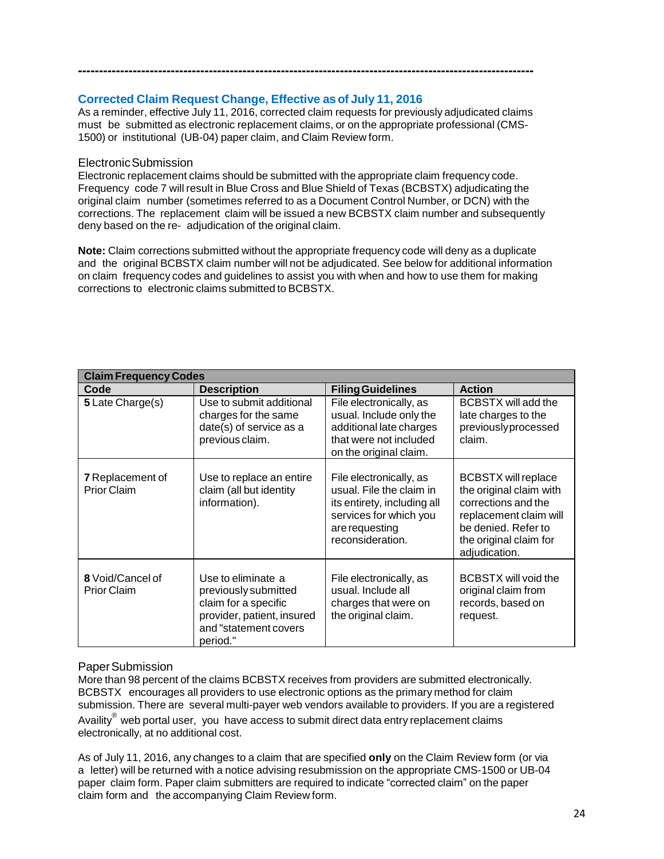# **Corrected Claim Request Change, Effective asof July 11, 2016**

As a reminder, effective July 11, 2016, corrected claim requests for previously adjudicated claims must be submitted as electronic replacement claims, or on the appropriate professional (CMS-1500) or institutional (UB-04) paper claim, and Claim Review form.

**------------------------------------------------------------------------------------------------------------**

# ElectronicSubmission

Electronic replacement claims should be submitted with the appropriate claim frequency code. Frequency code 7 will result in Blue Cross and Blue Shield of Texas (BCBSTX) adjudicating the original claim number (sometimes referred to as a Document Control Number, or DCN) with the corrections. The replacement claim will be issued a new BCBSTX claim number and subsequently deny based on the re- adjudication of the original claim.

**Note:** Claim corrections submitted without the appropriate frequency code will deny as a duplicate and the original BCBSTX claim number will not be adjudicated. See below for additional information on claim frequency codes and guidelines to assist you with when and how to use them for making corrections to electronic claims submitted to BCBSTX.

| <b>Claim Frequency Codes</b>                  |                                                                                                                                       |                                                                                                                                                    |                                                                                                                                                                          |
|-----------------------------------------------|---------------------------------------------------------------------------------------------------------------------------------------|----------------------------------------------------------------------------------------------------------------------------------------------------|--------------------------------------------------------------------------------------------------------------------------------------------------------------------------|
| Code                                          | <b>Description</b>                                                                                                                    | <b>Filing Guidelines</b>                                                                                                                           | <b>Action</b>                                                                                                                                                            |
| 5 Late Charge(s)                              | Use to submit additional<br>charges for the same<br>date(s) of service as a<br>previous claim.                                        | File electronically, as<br>usual. Include only the<br>additional late charges<br>that were not included<br>on the original claim.                  | <b>BCBSTX will add the</b><br>late charges to the<br>previouslyprocessed<br>claim.                                                                                       |
| <b>7</b> Replacement of<br><b>Prior Claim</b> | Use to replace an entire<br>claim (all but identity<br>information).                                                                  | File electronically, as<br>usual. File the claim in<br>its entirety, including all<br>services for which you<br>are requesting<br>reconsideration. | <b>BCBSTX will replace</b><br>the original claim with<br>corrections and the<br>replacement claim will<br>be denied. Refer to<br>the original claim for<br>adjudication. |
| 8 Void/Cancel of<br><b>Prior Claim</b>        | Use to eliminate a<br>previously submitted<br>claim for a specific<br>provider, patient, insured<br>and "statement covers<br>period." | File electronically, as<br>usual. Include all<br>charges that were on<br>the original claim.                                                       | <b>BCBSTX will void the</b><br>original claim from<br>records, based on<br>request.                                                                                      |

# PaperSubmission

More than 98 percent of the claims BCBSTX receives from providers are submitted electronically. BCBSTX encourages all providers to use electronic options as the primary method for claim submission. There are several multi-payer web vendors available to providers. If you are a registered Availity<sup>®</sup> web portal user, you have access to submit direct data entry replacement claims electronically, at no additional cost.

As of July 11, 2016, any changes to a claim that are specified **only** on the Claim Review form (or via a letter) will be returned with a notice advising resubmission on the appropriate CMS-1500 or UB-04 paper claim form. Paper claim submitters are required to indicate "corrected claim" on the paper claim form and the accompanying Claim Review form.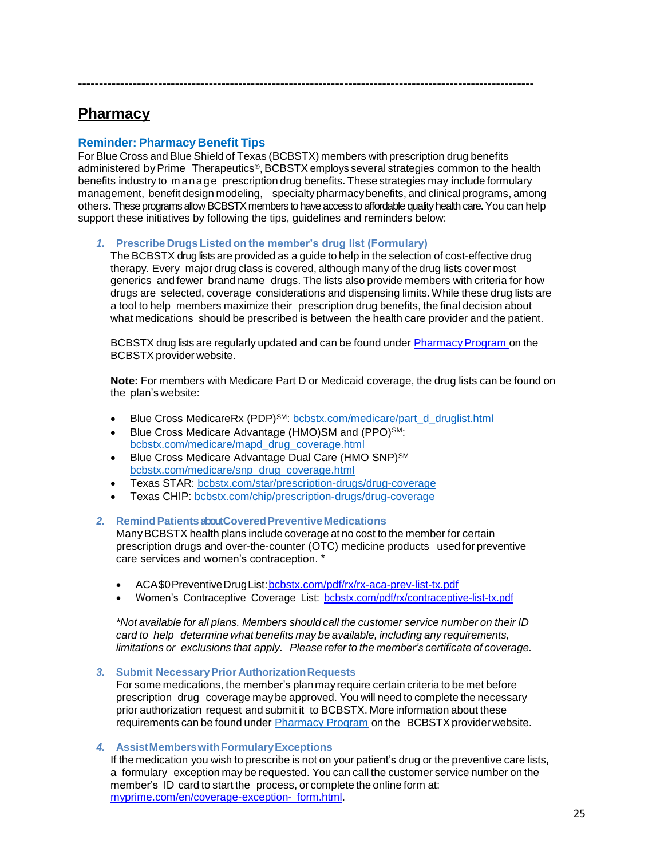# **Pharmacy**

# **Reminder: Pharmacy Benefit Tips**

For Blue Cross and Blue Shield of Texas (BCBSTX) members with prescription drug benefits administered by Prime Therapeutics®, BCBSTX employs several strategies common to the health benefits industry to m anage prescription drug benefits. These strategies may include formulary management, benefit design modeling, specialty pharmacybenefits, and clinical programs, among others. These programs allow BCBSTX members to have access to affordable quality health care. You can help support these initiatives by following the tips, guidelines and reminders below:

**------------------------------------------------------------------------------------------------------------**

#### *1.* **Prescribe Drugs Listed on the member's drug list (Formulary)**

The BCBSTX drug lists are provided as a guide to help in the selection of cost-effective drug therapy. Every major drug class is covered, although many of the drug lists cover most generics and fewer brand name drugs. The lists also provide members with criteria for how drugs are selected, coverage considerations and dispensing limits.While these drug lists are a tool to help members maximize their prescription drug benefits, the final decision about what medications should be prescribed is between the health care provider and the patient.

BCBSTX drug lists are regularly updated and can be found under Pharmacy Program on the BCBSTX provider website.

**Note:** For members with Medicare Part D or Medicaid coverage, the drug lists can be found on the plan's website:

- Blue Cross MedicareRx (PDP)<sup>SM</sup>: [bcbstx.com/medicare/part\\_d\\_druglist.html](http://www.bcbstx.com/medicare/part_d_druglist.html)
- Blue Cross Medicare Advantage (HMO)SM and (PPO)SM: [bcbstx.com/medicare/mapd\\_drug\\_coverage.html](http://www.bcbstx.com/medicare/mapd_drug_coverage.html)
- Blue Cross Medicare Advantage Dual Care (HMO SNP)<sup>SM</sup> [bcbstx.com/medicare/snp\\_drug\\_coverage.html](http://www.bcbstx.com/medicare/snp_drug_coverage.html)
- Texas STAR: [bcbstx.com/star/prescription-drugs/drug-coverage](http://www.bcbstx.com/star/prescription-drugs/drug-coverage)
- Texas CHIP: [bcbstx.com/chip/prescription-drugs/drug-coverage](http://www.bcbstx.com/chip/prescription-drugs/drug-coverage)

#### 2. Remind Patients about Covered Preventive Medications

ManyBCBSTX health plans include coverage at no cost to the member for certain prescription drugs and over-the-counter (OTC) medicine products used for preventive care services and women's contraception. \*

- ACA\$0PreventiveDrugList[:bcbstx.com/pdf/rx/rx-aca-prev-list-tx.pdf](http://www.bcbstx.com/pdf/rx/rx-aca-prev-list-tx.pdf)
- Women's Contraceptive Coverage List: [bcbstx.com/pdf/rx/contraceptive-list-tx.pdf](http://www.bcbstx.com/pdf/rx/contraceptive-list-tx.pdf)

*\*Not available for all plans. Members should call the customer service number on their ID card to help determine what benefits may be available, including any requirements, limitations or exclusions that apply. Please refer to the member's certificate of coverage.*

#### *3.* **Submit NecessaryPrior AuthorizationRequests**

For some medications, the member's planmay require certain criteria to be met before prescription drug coverage maybe approved. You will need to complete the necessary prior authorization request and submit it to BCBSTX. More information about these requirements can be found under [Pharmacy Program](https://www.bcbstx.com/provider/pharmacy/pa_step_therapy.html) on the BCBSTX provider website.

#### *4.* **AssistMemberswithFormularyExceptions**

If the medication you wish to prescribe is not on your patient's drug or the preventive care lists, a formulary exception may be requested. You can call the customer service number on the member's ID card to start the process, or complete the online form at: [myprime.com/en/coverage-exception-](http://www.myprime.com/en/coverage-exception-form.html) [form.html.](http://www.myprime.com/en/coverage-exception-form.html)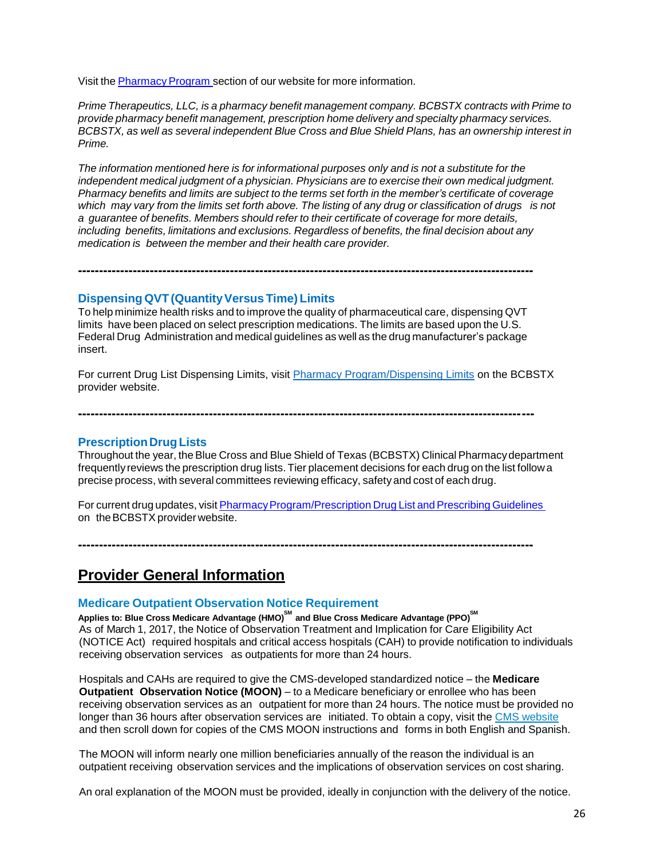Visit the Pharmacy Program section of our website for more information.

*Prime Therapeutics, LLC, is a pharmacy benefit management company. BCBSTX contracts with Prime to provide pharmacy benefit management, prescription home delivery and specialty pharmacy services. BCBSTX, as well as several independent Blue Cross and Blue Shield Plans, has an ownership interest in Prime.*

*The information mentioned here is for informational purposes only and is not a substitute for the independent medical judgment of a physician. Physicians are to exercise their own medical judgment. Pharmacy benefits and limits are subject to the terms set forth in the member's certificate of coverage* which may vary from the limits set forth above. The listing of any drug or classification of drugs is not *a guarantee of benefits. Members should refer to their certificate of coverage for more details, including benefits, limitations and exclusions. Regardless of benefits, the final decision about any medication is between the member and their health care provider.*

**Dispensing QVT (Quantity Versus Time) Limits** 

To help minimize health risks and to improve the quality of pharmaceutical care, dispensing QVT limits have been placed on select prescription medications. The limits are based upon the U.S. Federal Drug Administration and medical guidelines as well as the drug manufacturer's package insert.

**------------------------------------------------------------------------------------------------------------**

For current Drug List Dispensing Limits, visit [Pharmacy Program/Dispensing Limits](https://www.bcbstx.com/provider/pharmacy/quantity_time.html) on the BCBSTX provider website.

**------------------------------------------------------------------------------------------------------------**

## **Prescription Drug Lists**

Throughout the year, theBlue Cross and Blue Shield of Texas (BCBSTX) Clinical Pharmacydepartment frequentlyreviews the prescription drug lists. Tier placement decisions for each drug on the list follow a precise process, with several committees reviewing efficacy, safety and cost of each drug.

For current drug updates, visit Pharmacy Program/Prescription Drug List and Prescribing Guidelines on the BCBSTX provider website.

**------------------------------------------------------------------------------------------------------------**

**Provider General Information**

# **Medicare Outpatient Observation Notice Requirement**

**Applies to: Blue Cross Medicare Advantage (HMO) SM and Blue Cross Medicare Advantage (PPO) SM** As of March 1, 2017, the Notice of Observation Treatment and Implication for Care Eligibility Act (NOTICE Act) required hospitals and critical access hospitals (CAH) to provide notification to individuals receiving observation services as outpatients for more than 24 hours.

Hospitals and CAHs are required to give the CMS-developed standardized notice – the **Medicare Outpatient Observation Notice (MOON)** – to a Medicare beneficiary or enrollee who has been receiving observation services as an outpatient for more than 24 hours. The notice must be provided no longer than 36 hours after observation services are initiated. To obtain a copy, visit the CMS [website](https://www.cms.gov/Medicare/Medicare-General-Information/BNI/index.html) and then scroll down for copies of the CMS MOON instructions and forms in both English and Spanish.

The MOON will inform nearly one million beneficiaries annually of the reason the individual is an outpatient receiving observation services and the implications of observation services on cost sharing.

An oral explanation of the MOON must be provided, ideally in conjunction with the delivery of the notice.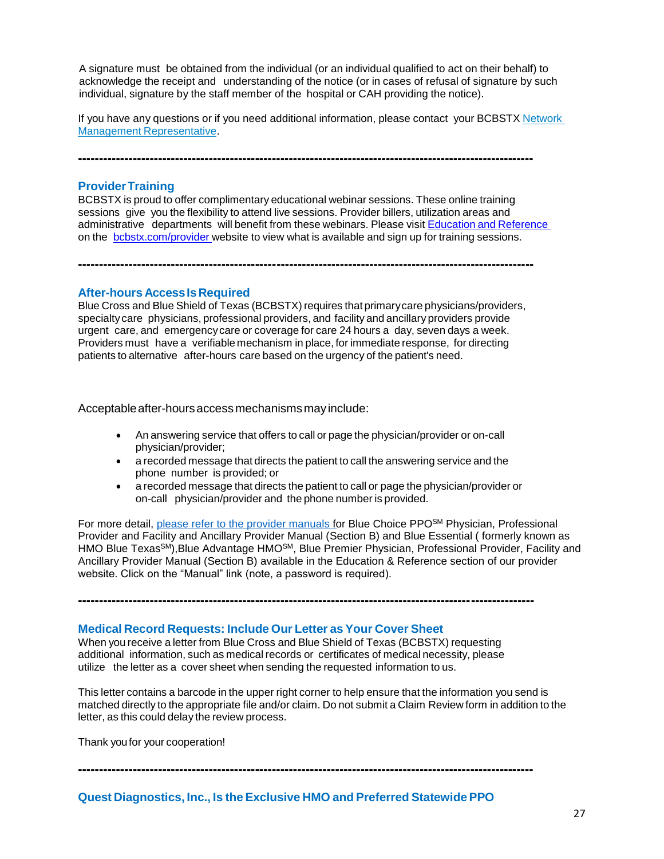A signature must be obtained from the individual (or an individual qualified to act on their behalf) to acknowledge the receipt and understanding of the notice (or in cases of refusal of signature by such individual, signature by the staff member of the hospital or CAH providing the notice).

If you have any questions or if you need additional information, please contact your BCBSTX [Network](https://www.bcbstx.com/provider/contact_us.html#localnetwork) Management [Representative.](https://www.bcbstx.com/provider/contact_us.html#localnetwork)

**------------------------------------------------------------------------------------------------------------**

#### **ProviderTraining**

BCBSTX is proud to offer complimentary educational webinar sessions. These online training sessions give you the flexibility to attend live sessions. Provider billers, utilization areas and administrative departments will benefit from these webinars. Please visit Education and [Reference](http://www.bcbstx.com/provider/training/index.html) on the [bcbstx.com/provider](http://www.bcbstx.com/provider/index.html) website to view what is available and sign up for training sessions.

#### **After-hours AccessIsRequired**

Blue Cross and Blue Shield of Texas (BCBSTX) requires that primary care physicians/providers, specialtycare physicians, professional providers, and facility and ancillary providers provide urgent care, and emergencycare or coverage for care 24 hours a day, seven days a week. Providers must have a verifiable mechanism in place, for immediate response, for directing patients to alternative after-hours care based on the urgency of the patient's need.

**------------------------------------------------------------------------------------------------------------**

Acceptable after-hours access mechanisms may include:

- An answering service that offers to call or page the physician/provider or on-call physician/provider;
- a recorded message that directs the patient to call the answering service and the phone number is provided; or
- a recorded message that directs the patient to call or page the physician/provider or on-call physician/provider and the phone number is provided.

For more detail, [please refer to the provider manuals f](https://www.bcbstx.com/provider/gri/index.html)or Blue Choice PPO<sup>SM</sup> Physician, Professional Provider and Facility and Ancillary Provider Manual (Section B) and Blue Essential ( formerly known as HMO Blue Texas<sup>SM</sup>), Blue Advantage HMO<sup>SM</sup>, Blue Premier Physician, Professional Provider, Facility and Ancillary Provider Manual (Section B) available in the Education & Reference section of our provider website. Click on the "Manual" link (note, a password is required).

**------------------------------------------------------------------------------------------------------------**

# **Medical Record Requests: Include Our Letter as Your Cover Sheet**

When you receive a letter from Blue Cross and Blue Shield of Texas (BCBSTX) requesting additional information, such as medical records or certificates of medical necessity, please utilize the letter as a cover sheet when sending the requested information to us.

This letter contains a barcode in the upper right corner to help ensure that the information you send is matched directly to the appropriate file and/or claim. Do not submit a Claim Review form in addition to the letter, as this could delay the review process.

Thank youfor your cooperation!

**Quest Diagnostics, Inc., Is the Exclusive HMO and Preferred StatewidePPO**

**------------------------------------------------------------------------------------------------------------**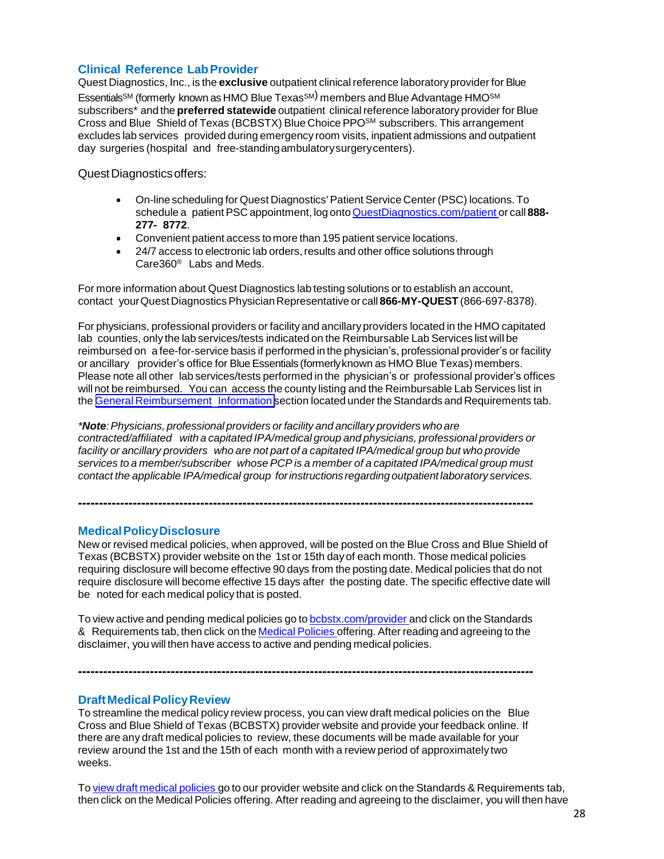# **Clinical Reference LabProvider**

Quest Diagnostics, Inc., is the **exclusive** outpatient clinicalreference laboratoryprovider for Blue  $\mathsf{Essentials^{SM}}$  (formerly known as HMO Blue  $\mathsf{Texas^{SM}}$ ) members and Blue Advantage HMO $^{\mathsf{SM}}$ subscribers<sup>\*</sup> and the **preferred statewide** outpatient clinical reference laboratory provider for Blue Cross and Blue Shield of Texas (BCBSTX) Blue Choice PPOSM subscribers. This arrangement excludes lab services provided during emergency room visits, inpatient admissions and outpatient day surgeries (hospital and free-standingambulatorysurgerycenters).

Quest Diagnostics offers:

- On-linescheduling for Quest Diagnostics' Patient Service Center (PSC) locations. To schedule a patientPSC appointment, log onto[QuestDiagnostics.com/patient](https://www.questdiagnostics.com/home/patients) or call **888- 277- 8772**.
- Convenient patient access to more than 195 patient service locations.
- 24/7 access to electronic lab orders, results and other office solutions through Care360® Labs and Meds.

For more information about Quest Diagnostics lab testing solutions or to establish an account, contact yourQuestDiagnosticsPhysicianRepresentative or call **866-MY-QUEST** (866-697-8378).

For physicians, professional providers or facility and ancillary providers located in the HMO capitated lab counties, only the lab services/tests indicated on the Reimbursable Lab Services list will be reimbursed on a fee-for-service basis if performed in the physician's, professional provider's or facility or ancillary provider's office for Blue Essentials (formerly known as HMO Blue Texas) members. Please note all other lab services/tests performed in the physician's or professional provider's offices will not be reimbursed. You can access the county listing and the Reimbursable Lab Services list in the General [Reimbursement](https://www.bcbstx.com/provider/gri/index.html) [Information](http://www.pages02.net/hcscnosuppression/nlt_br_providers_june_2016_b_ok_060116_in_every_issue/LPT.url?kn=900482&amp%3Bamp%3Bvs=YTVjNjZjMzUtOGRhNi00MDUwLWI1MDAtYTg0NTI3M2JkZmUxOzA6ODk5OTgwMToyMjY0ODg5MjYwNzo5NDAwOTQyMjQ6OTQwMDk0MjI0OwS2) section located under the Standards and Requirements tab.

*\*Note:Physicians, professional providers orfacility and ancillary providers who are contracted/affiliated with a capitated IPA/medical group and physicians, professional providers or facility or ancillary providers who are not part of a capitated IPA/medical group but who provide services to a member/subscriber whose PCP is a member of a capitated IPA/medical group must contact the applicable IPA/medical group forinstructions regarding outpatient laboratory services.*

**------------------------------------------------------------------------------------------------------------**

## **MedicalPolicyDisclosure**

New or revised medical policies, when approved, will be posted on the Blue Cross and Blue Shield of Texas (BCBSTX) provider website on the 1st or 15th day of each month. Those medical policies requiring disclosure will become effective 90 days from the posting date. Medical policies that do not require disclosure will become effective 15 days after the posting date. The specific effective date will be noted for each medical policy that is posted.

To view active and pending medical policies go to [bcbstx.com/provider](https://www.bcbstx.com/provider/) and click on the Standards & Requirements tab, then click on the [Medical](http://www.medicalpolicy.hcsc.net/medicalpolicy/disclaimer?corpEntCd=TX1) Policies offering. After reading and agreeing to the disclaimer, you will then have access to active and pending medical policies.

**------------------------------------------------------------------------------------------------------------**

## **Draft Medical Policy Review**

To streamline the medical policy review process, you can view draft medical policies on the Blue Cross and Blue Shield of Texas (BCBSTX) provider website and provide your feedback online. If there are any draft medical policies to review, these documents will be made available for your review around the 1st and the 15th of each month with a review period of approximately two weeks.

To view draft [medical](http://www.medicalpolicy.hcsc.net/medicalpolicy/disclaimer?corpEntCd=TX1) policies go to our provider website and click on the Standards & Requirements tab, then click on the Medical Policies offering. After reading and agreeing to the disclaimer, you will then have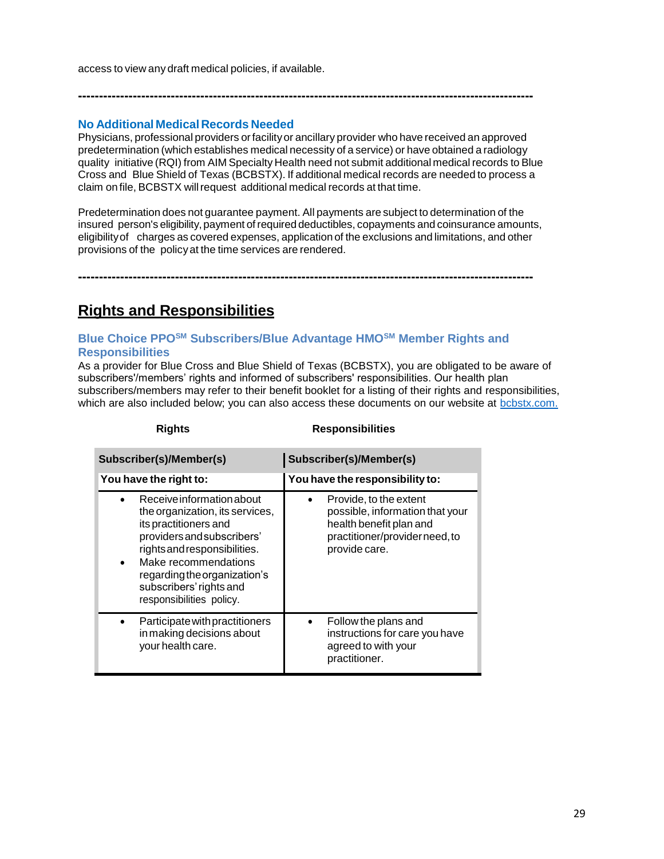access to view any draft medical policies, if available.

# **No Additional Medical Records Needed**

Physicians, professional providers orfacilityor ancillary provider who have received an approved predetermination (which establishes medical necessity of a service) or have obtained a radiology quality initiative (RQI) from AIM Specialty Health need not submit additionalmedical records to Blue Cross and Blue Shield of Texas (BCBSTX). If additional medical records are needed to process a claim on file, BCBSTX willrequest additional medical records at that time.

**------------------------------------------------------------------------------------------------------------**

Predetermination does not guarantee payment. All payments are subject to determination of the insured person's eligibility, payment of required deductibles, copayments and coinsurance amounts, eligibilityof charges as covered expenses, application of the exclusions and limitations, and other provisions of the policyat the time services are rendered.

**------------------------------------------------------------------------------------------------------------**

# **Rights and Responsibilities**

# **Blue Choice PPOSM Subscribers/Blue Advantage HMOSM Member Rights and Responsibilities**

As a provider for Blue Cross and Blue Shield of Texas (BCBSTX), you are obligated to be aware of subscribers'/members' rights and informed of subscribers' responsibilities. Our health plan subscribers/members may refer to their benefit booklet for a listing of their rights and responsibilities, which are also included below; you can also access these documents on our website at [bcbstx.com.](https://www.bcbstx.com/member/)

| Subscriber(s)/Member(s)                                                                                                                                                                                                                                                         | Subscriber(s)/Member(s)                                                                                                                 |
|---------------------------------------------------------------------------------------------------------------------------------------------------------------------------------------------------------------------------------------------------------------------------------|-----------------------------------------------------------------------------------------------------------------------------------------|
| You have the right to:                                                                                                                                                                                                                                                          | You have the responsibility to:                                                                                                         |
| Receive information about<br>the organization, its services,<br>its practitioners and<br>providers and subscribers'<br>rights and responsibilities.<br>Make recommendations<br>$\bullet$<br>regarding the organization's<br>subscribers' rights and<br>responsibilities policy. | Provide, to the extent<br>possible, information that your<br>health benefit plan and<br>practitioner/provider need, to<br>provide care. |
| Participate with practitioners<br>in making decisions about<br>your health care.                                                                                                                                                                                                | Follow the plans and<br>instructions for care you have<br>agreed to with your<br>practitioner.                                          |

# **Rights Responsibilities**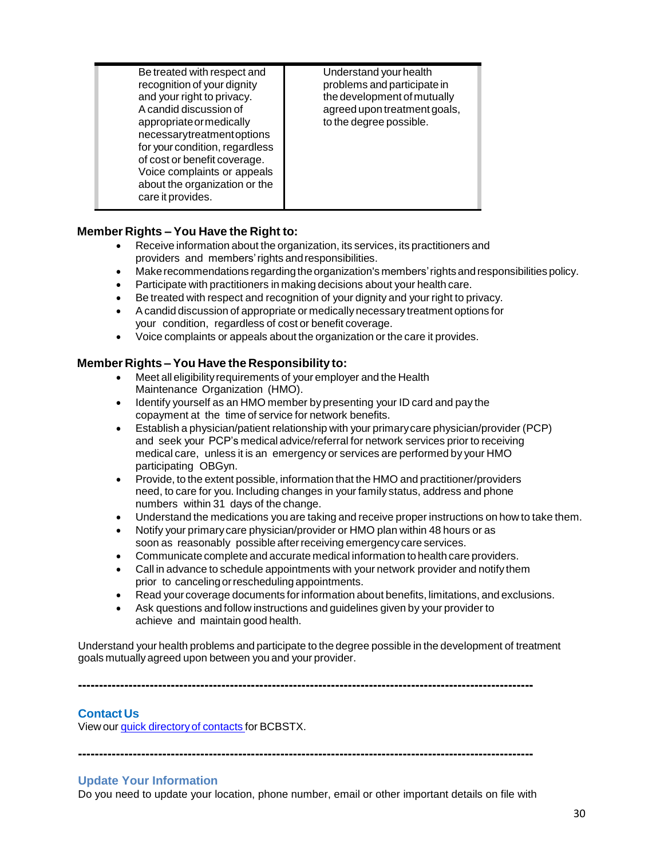| Be treated with respect and<br>recognition of your dignity<br>and your right to privacy.<br>A candid discussion of<br>appropriate or medically<br>necessarytreatmentoptions<br>for your condition, regardless<br>of cost or benefit coverage.<br>Voice complaints or appeals<br>about the organization or the<br>care it provides. | Understand your health<br>problems and participate in<br>the development of mutually<br>agreed upon treatment goals,<br>to the degree possible. |
|------------------------------------------------------------------------------------------------------------------------------------------------------------------------------------------------------------------------------------------------------------------------------------------------------------------------------------|-------------------------------------------------------------------------------------------------------------------------------------------------|
|------------------------------------------------------------------------------------------------------------------------------------------------------------------------------------------------------------------------------------------------------------------------------------------------------------------------------------|-------------------------------------------------------------------------------------------------------------------------------------------------|

# **Member Rights – You Have the Right to:**

- Receive information about the organization, its services, its practitioners and providers and members'rights andresponsibilities.
- Makerecommendations regardingtheorganization's members'rights andresponsibilities policy.
- Participate with practitioners in making decisions about your health care.
- Be treated with respect and recognition of your dignity and your right to privacy.
- Acandid discussion of appropriate or medically necessary treatment options for your condition, regardless of cost or benefit coverage.
- Voice complaints or appeals about the organization or the care it provides.

# **Member Rights – You Have the Responsibility to:**

- Meet all eligibilityrequirements of your employer and the Health Maintenance Organization (HMO).
- Identify yourself as an HMO member bypresenting your ID card and pay the copayment at the time of service for network benefits.
- Establish a physician/patient relationship with your primarycare physician/provider (PCP) and seek your PCP's medical advice/referral for network services prior to receiving medical care, unless it is an emergency or services are performed by your HMO participating OBGyn.
- Provide, to the extent possible, information that the HMO and practitioner/providers need, to care for you. Including changes in your family status, address and phone numbers within 31 days of the change.
- Understand the medications you are taking and receive proper instructions on how to take them.
- Notify your primarycare physician/provider or HMO plan within 48 hours or as soon as reasonably possible afterreceiving emergencycare services.
- Communicate complete and accurate medical information to health care providers.
- Call in advance to schedule appointments with your network provider and notify them prior to cancelingorrescheduling appointments.
- Read your coverage documents forinformation about benefits, limitations, and exclusions.
- Ask questions and follow instructions and guidelines given by your provider to achieve and maintain good health.

Understand your health problems and participate to the degree possible in the development of treatment goals mutually agreed upon between you and your provider.

**------------------------------------------------------------------------------------------------------------**

# **Contact Us**

Viewour quick [directoryof](http://www.bcbstx.com/provider/contact_us.html) contacts for BCBSTX.

**------------------------------------------------------------------------------------------------------------**

# **Update Your Information**

Do you need to update your location, phone number, email or other important details on file with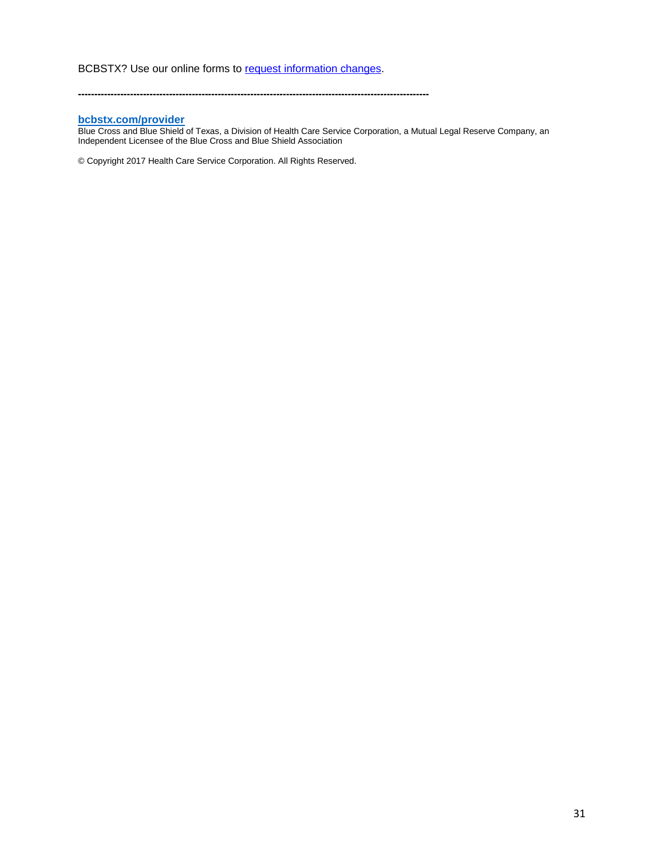#### **[bcbstx.com/provider](https://www.bcbstx.com/provider)**

Blue Cross and Blue Shield of Texas, a Division of Health Care Service Corporation, a Mutual Legal Reserve Company, an Independent Licensee of the Blue Cross and Blue Shield Association

**------------------------------------------------------------------------------------------------------------**

© Copyright 2017 Health Care Service Corporation. All Rights Reserved.